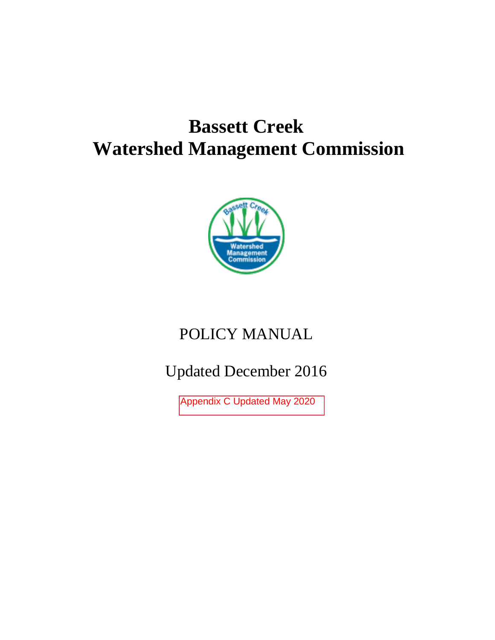# **Bassett Creek Watershed Management Commission**



# POLICY MANUAL

# Updated December 2016

Appendix C Updated May 2020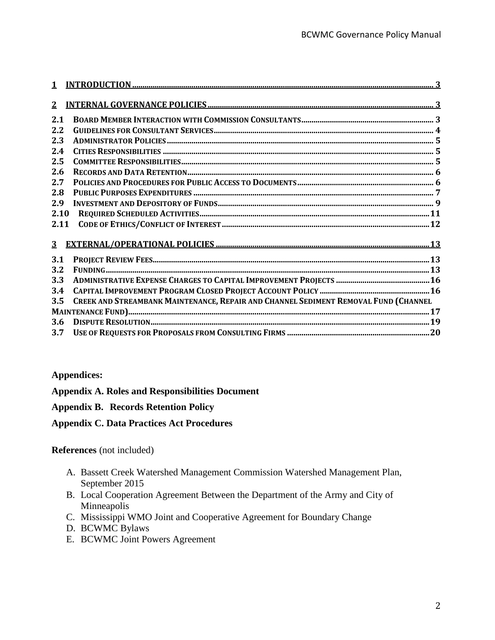| $\mathbf{2}$      |                                                                                     |  |
|-------------------|-------------------------------------------------------------------------------------|--|
| 2.1<br>2.2<br>2.3 |                                                                                     |  |
| 2.4<br>2.5        |                                                                                     |  |
| 2.6<br>2.7        |                                                                                     |  |
| 2.8               |                                                                                     |  |
| 2.9<br>2.10       |                                                                                     |  |
| 2.11              |                                                                                     |  |
| $\overline{3}$    |                                                                                     |  |
| 3.1<br>3.2        |                                                                                     |  |
| 3.3<br>3.4        |                                                                                     |  |
| 3.5               | CREEK AND STREAMBANK MAINTENANCE, REPAIR AND CHANNEL SEDIMENT REMOVAL FUND (CHANNEL |  |
| 3.6<br>3.7        |                                                                                     |  |
|                   |                                                                                     |  |

#### **Appendices:**

**Appendix A. Roles and Responsibilities Document**

#### **Appendix B. Records Retention Policy**

**Appendix C. Data Practices Act Procedures**

#### **References** (not included)

- A. Bassett Creek Watershed Management Commission Watershed Management Plan, September 2015
- B. Local Cooperation Agreement Between the Department of the Army and City of Minneapolis
- C. Mississippi WMO Joint and Cooperative Agreement for Boundary Change
- D. BCWMC Bylaws
- E. BCWMC Joint Powers Agreement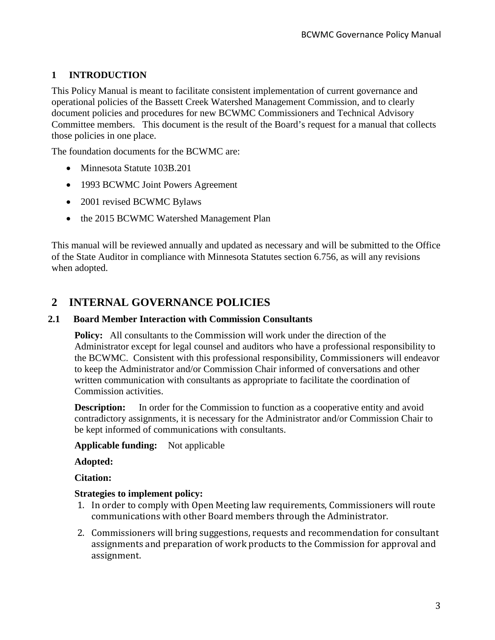# <span id="page-2-0"></span>**1 INTRODUCTION**

This Policy Manual is meant to facilitate consistent implementation of current governance and operational policies of the Bassett Creek Watershed Management Commission, and to clearly document policies and procedures for new BCWMC Commissioners and Technical Advisory Committee members. This document is the result of the Board's request for a manual that collects those policies in one place.

The foundation documents for the BCWMC are:

- Minnesota Statute 103B.201
- 1993 BCWMC Joint Powers Agreement
- 2001 revised BCWMC Bylaws
- the 2015 BCWMC Watershed Management Plan

This manual will be reviewed annually and updated as necessary and will be submitted to the Office of the State Auditor in compliance with Minnesota Statutes section 6.756, as will any revisions when adopted.

# <span id="page-2-1"></span>**2 INTERNAL GOVERNANCE POLICIES**

#### <span id="page-2-2"></span>**2.1 Board Member Interaction with Commission Consultants**

**Policy:** All consultants to the Commission will work under the direction of the Administrator except for legal counsel and auditors who have a professional responsibility to the BCWMC. Consistent with this professional responsibility, Commissioners will endeavor to keep the Administrator and/or Commission Chair informed of conversations and other written communication with consultants as appropriate to facilitate the coordination of Commission activities.

**Description:** In order for the Commission to function as a cooperative entity and avoid contradictory assignments, it is necessary for the Administrator and/or Commission Chair to be kept informed of communications with consultants.

**Applicable funding:** Not applicable

#### **Adopted:**

**Citation:** 

#### **Strategies to implement policy:**

- 1. In order to comply with Open Meeting law requirements, Commissioners will route communications with other Board members through the Administrator.
- 2. Commissioners will bring suggestions, requests and recommendation for consultant assignments and preparation of work products to the Commission for approval and assignment.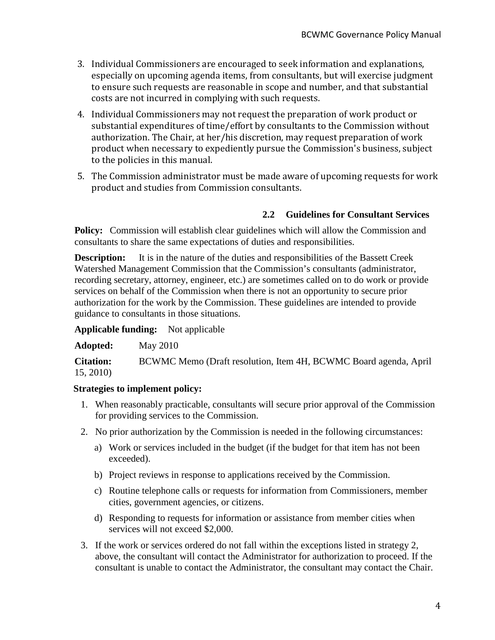- 3. Individual Commissioners are encouraged to seek information and explanations, especially on upcoming agenda items, from consultants, but will exercise judgment to ensure such requests are reasonable in scope and number, and that substantial costs are not incurred in complying with such requests.
- 4. Individual Commissioners may not request the preparation of work product or substantial expenditures of time/effort by consultants to the Commission without authorization. The Chair, at her/his discretion, may request preparation of work product when necessary to expediently pursue the Commission's business, subject to the policies in this manual.
- 5. The Commission administrator must be made aware of upcoming requests for work product and studies from Commission consultants.

# **2.2 Guidelines for Consultant Services**

<span id="page-3-0"></span>**Policy:** Commission will establish clear guidelines which will allow the Commission and consultants to share the same expectations of duties and responsibilities.

**Description:** It is in the nature of the duties and responsibilities of the Bassett Creek Watershed Management Commission that the Commission's consultants (administrator, recording secretary, attorney, engineer, etc.) are sometimes called on to do work or provide services on behalf of the Commission when there is not an opportunity to secure prior authorization for the work by the Commission. These guidelines are intended to provide guidance to consultants in those situations.

**Applicable funding:** Not applicable

**Adopted:** May 2010

**Citation:** BCWMC Memo (Draft resolution, Item 4H, BCWMC Board agenda, April 15, 2010)

# **Strategies to implement policy:**

- 1. When reasonably practicable, consultants will secure prior approval of the Commission for providing services to the Commission.
- 2. No prior authorization by the Commission is needed in the following circumstances:
	- a) Work or services included in the budget (if the budget for that item has not been exceeded).
	- b) Project reviews in response to applications received by the Commission.
	- c) Routine telephone calls or requests for information from Commissioners, member cities, government agencies, or citizens.
	- d) Responding to requests for information or assistance from member cities when services will not exceed \$2,000.
- 3. If the work or services ordered do not fall within the exceptions listed in strategy 2, above, the consultant will contact the Administrator for authorization to proceed. If the consultant is unable to contact the Administrator, the consultant may contact the Chair.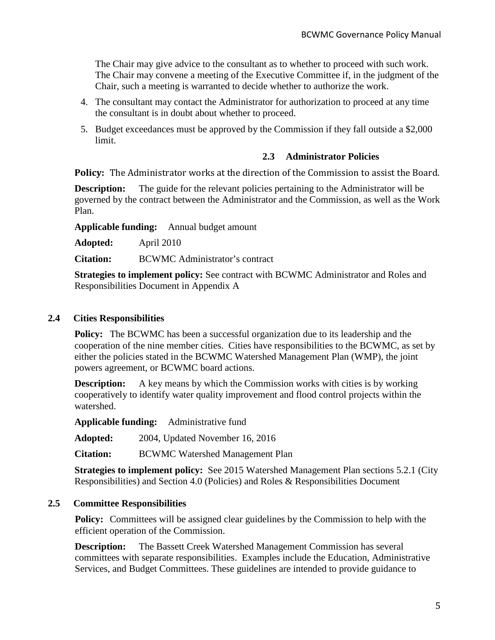The Chair may give advice to the consultant as to whether to proceed with such work. The Chair may convene a meeting of the Executive Committee if, in the judgment of the Chair, such a meeting is warranted to decide whether to authorize the work.

- 4. The consultant may contact the Administrator for authorization to proceed at any time the consultant is in doubt about whether to proceed.
- 5. Budget exceedances must be approved by the Commission if they fall outside a \$2,000 limit.

#### **2.3 Administrator Policies**

<span id="page-4-0"></span>**Policy:** The Administrator works at the direction of the Commission to assist the Board.

**Description:** The guide for the relevant policies pertaining to the Administrator will be governed by the contract between the Administrator and the Commission, as well as the Work Plan.

**Applicable funding:** Annual budget amount

**Adopted:** April 2010

**Citation:** BCWMC Administrator's contract

**Strategies to implement policy:** See contract with BCWMC Administrator and Roles and Responsibilities Document in Appendix A

#### <span id="page-4-1"></span>**2.4 Cities Responsibilities**

**Policy:** The BCWMC has been a successful organization due to its leadership and the cooperation of the nine member cities. Cities have responsibilities to the BCWMC, as set by either the policies stated in the BCWMC Watershed Management Plan (WMP), the joint powers agreement, or BCWMC board actions.

**Description:** A key means by which the Commission works with cities is by working cooperatively to identify water quality improvement and flood control projects within the watershed.

**Applicable funding:** Administrative fund

**Adopted:** 2004, Updated November 16, 2016

**Citation:** BCWMC Watershed Management Plan

**Strategies to implement policy:** See 2015 Watershed Management Plan sections 5.2.1 (City Responsibilities) and Section 4.0 (Policies) and Roles & Responsibilities Document

#### <span id="page-4-2"></span>**2.5 Committee Responsibilities**

**Policy:** Committees will be assigned clear guidelines by the Commission to help with the efficient operation of the Commission.

**Description:** The Bassett Creek Watershed Management Commission has several committees with separate responsibilities. Examples include the Education, Administrative Services, and Budget Committees. These guidelines are intended to provide guidance to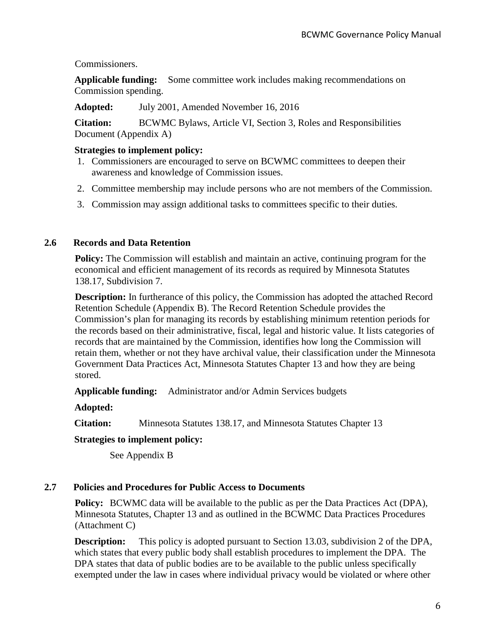Commissioners.

**Applicable funding:** Some committee work includes making recommendations on Commission spending.

**Adopted:** July 2001, Amended November 16, 2016

**Citation:** BCWMC Bylaws, Article VI, Section 3, Roles and Responsibilities Document (Appendix A)

## **Strategies to implement policy:**

- 1. Commissioners are encouraged to serve on BCWMC committees to deepen their awareness and knowledge of Commission issues.
- 2. Committee membership may include persons who are not members of the Commission.
- 3. Commission may assign additional tasks to committees specific to their duties.

# <span id="page-5-0"></span>**2.6 Records and Data Retention**

**Policy:** The Commission will establish and maintain an active, continuing program for the economical and efficient management of its records as required by Minnesota Statutes 138.17, Subdivision 7.

**Description:** In furtherance of this policy, the Commission has adopted the attached Record Retention Schedule (Appendix B). The Record Retention Schedule provides the Commission's plan for managing its records by establishing minimum retention periods for the records based on their administrative, fiscal, legal and historic value. It lists categories of records that are maintained by the Commission, identifies how long the Commission will retain them, whether or not they have archival value, their classification under the Minnesota Government Data Practices Act, Minnesota Statutes Chapter 13 and how they are being stored.

**Applicable funding:** Administrator and/or Admin Services budgets

**Adopted:**

**Citation:** Minnesota Statutes 138.17, and Minnesota Statutes Chapter 13

# **Strategies to implement policy:**

See Appendix B

# <span id="page-5-1"></span>**2.7 Policies and Procedures for Public Access to Documents**

**Policy:** BCWMC data will be available to the public as per the Data Practices Act (DPA), Minnesota Statutes, Chapter 13 and as outlined in the BCWMC Data Practices Procedures (Attachment C)

**Description:** This policy is adopted pursuant to Section 13.03, subdivision 2 of the DPA, which states that every public body shall establish procedures to implement the DPA. The DPA states that data of public bodies are to be available to the public unless specifically exempted under the law in cases where individual privacy would be violated or where other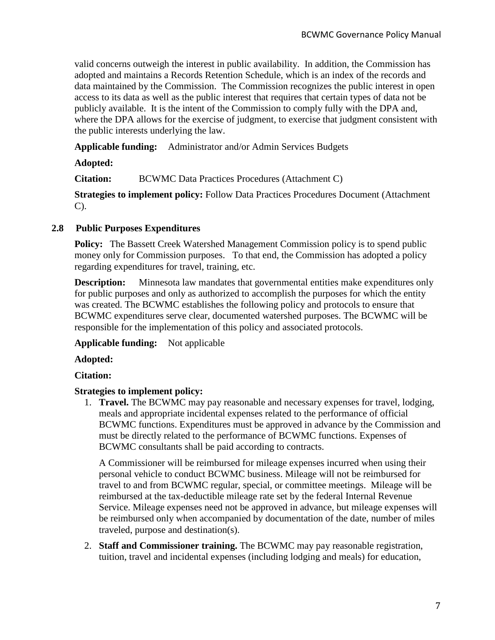valid concerns outweigh the interest in public availability. In addition, the Commission has adopted and maintains a Records Retention Schedule, which is an index of the records and data maintained by the Commission. The Commission recognizes the public interest in open access to its data as well as the public interest that requires that certain types of data not be publicly available. It is the intent of the Commission to comply fully with the DPA and, where the DPA allows for the exercise of judgment, to exercise that judgment consistent with the public interests underlying the law.

**Applicable funding:** Administrator and/or Admin Services Budgets

#### **Adopted:**

**Citation:** BCWMC Data Practices Procedures (Attachment C)

**Strategies to implement policy:** Follow Data Practices Procedures Document (Attachment C).

#### **2.8 Public Purposes Expenditures**

<span id="page-6-0"></span>**Policy:** The Bassett Creek Watershed Management Commission policy is to spend public money only for Commission purposes. To that end, the Commission has adopted a policy regarding expenditures for travel, training, etc.

**Description:** Minnesota law mandates that governmental entities make expenditures only for public purposes and only as authorized to accomplish the purposes for which the entity was created. The BCWMC establishes the following policy and protocols to ensure that BCWMC expenditures serve clear, documented watershed purposes. The BCWMC will be responsible for the implementation of this policy and associated protocols.

#### **Applicable funding:** Not applicable

#### **Adopted:**

#### **Citation:**

#### **Strategies to implement policy:**

1. **Travel.** The BCWMC may pay reasonable and necessary expenses for travel, lodging, meals and appropriate incidental expenses related to the performance of official BCWMC functions. Expenditures must be approved in advance by the Commission and must be directly related to the performance of BCWMC functions. Expenses of BCWMC consultants shall be paid according to contracts.

A Commissioner will be reimbursed for mileage expenses incurred when using their personal vehicle to conduct BCWMC business. Mileage will not be reimbursed for travel to and from BCWMC regular, special, or committee meetings. Mileage will be reimbursed at the tax-deductible mileage rate set by the federal Internal Revenue Service. Mileage expenses need not be approved in advance, but mileage expenses will be reimbursed only when accompanied by documentation of the date, number of miles traveled, purpose and destination(s).

2. **Staff and Commissioner training.** The BCWMC may pay reasonable registration, tuition, travel and incidental expenses (including lodging and meals) for education,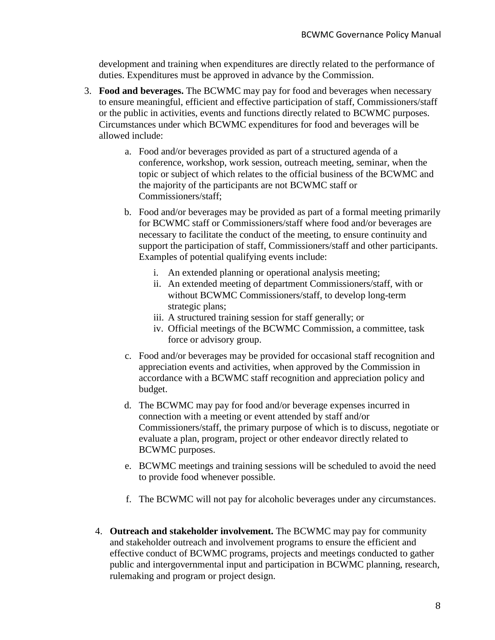development and training when expenditures are directly related to the performance of duties. Expenditures must be approved in advance by the Commission.

- 3. **Food and beverages.** The BCWMC may pay for food and beverages when necessary to ensure meaningful, efficient and effective participation of staff, Commissioners/staff or the public in activities, events and functions directly related to BCWMC purposes. Circumstances under which BCWMC expenditures for food and beverages will be allowed include:
	- a. Food and/or beverages provided as part of a structured agenda of a conference, workshop, work session, outreach meeting, seminar, when the topic or subject of which relates to the official business of the BCWMC and the majority of the participants are not BCWMC staff or Commissioners/staff;
	- b. Food and/or beverages may be provided as part of a formal meeting primarily for BCWMC staff or Commissioners/staff where food and/or beverages are necessary to facilitate the conduct of the meeting, to ensure continuity and support the participation of staff, Commissioners/staff and other participants. Examples of potential qualifying events include:
		- i. An extended planning or operational analysis meeting;
		- ii. An extended meeting of department Commissioners/staff, with or without BCWMC Commissioners/staff, to develop long-term strategic plans;
		- iii. A structured training session for staff generally; or
		- iv. Official meetings of the BCWMC Commission, a committee, task force or advisory group.
	- c. Food and/or beverages may be provided for occasional staff recognition and appreciation events and activities, when approved by the Commission in accordance with a BCWMC staff recognition and appreciation policy and budget.
	- d. The BCWMC may pay for food and/or beverage expenses incurred in connection with a meeting or event attended by staff and/or Commissioners/staff, the primary purpose of which is to discuss, negotiate or evaluate a plan, program, project or other endeavor directly related to BCWMC purposes.
	- e. BCWMC meetings and training sessions will be scheduled to avoid the need to provide food whenever possible.
	- f. The BCWMC will not pay for alcoholic beverages under any circumstances.
	- 4. **Outreach and stakeholder involvement.** The BCWMC may pay for community and stakeholder outreach and involvement programs to ensure the efficient and effective conduct of BCWMC programs, projects and meetings conducted to gather public and intergovernmental input and participation in BCWMC planning, research, rulemaking and program or project design.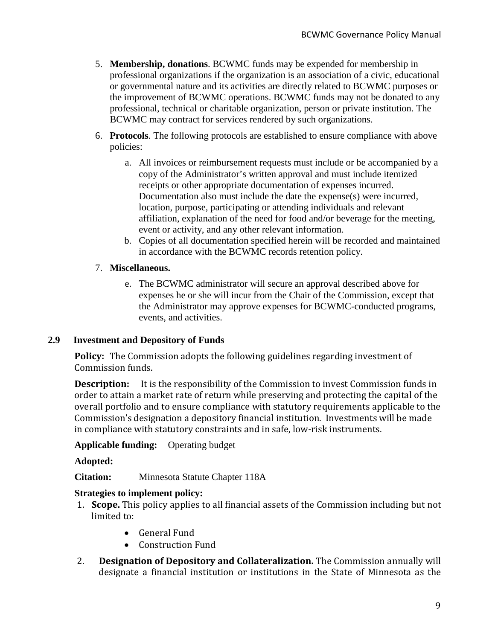- 5. **Membership, donations**. BCWMC funds may be expended for membership in professional organizations if the organization is an association of a civic, educational or governmental nature and its activities are directly related to BCWMC purposes or the improvement of BCWMC operations. BCWMC funds may not be donated to any professional, technical or charitable organization, person or private institution. The BCWMC may contract for services rendered by such organizations.
- 6. **Protocols**. The following protocols are established to ensure compliance with above policies:
	- a. All invoices or reimbursement requests must include or be accompanied by a copy of the Administrator's written approval and must include itemized receipts or other appropriate documentation of expenses incurred. Documentation also must include the date the expense(s) were incurred, location, purpose, participating or attending individuals and relevant affiliation, explanation of the need for food and/or beverage for the meeting, event or activity, and any other relevant information.
	- b. Copies of all documentation specified herein will be recorded and maintained in accordance with the BCWMC records retention policy.

# 7. **Miscellaneous.**

e. The BCWMC administrator will secure an approval described above for expenses he or she will incur from the Chair of the Commission, except that the Administrator may approve expenses for BCWMC-conducted programs, events, and activities.

# <span id="page-8-0"></span>**2.9 Investment and Depository of Funds**

**Policy:** The Commission adopts the following guidelines regarding investment of Commission funds.

**Description:** It is the responsibility of the Commission to invest Commission funds in order to attain a market rate of return while preserving and protecting the capital of the overall portfolio and to ensure compliance with statutory requirements applicable to the Commission's designation a depository financial institution. Investments will be made in compliance with statutory constraints and in safe, low-risk instruments.

# **Applicable funding:** Operating budget

# **Adopted:**

**Citation:** Minnesota Statute Chapter 118A

# **Strategies to implement policy:**

- 1. **Scope.** This policy applies to all financial assets of the Commission including but not limited to:
	- General Fund
	- Construction Fund
- 2. **Designation of Depository and Collateralization.** The Commission annually will designate a financial institution or institutions in the State of Minnesota as the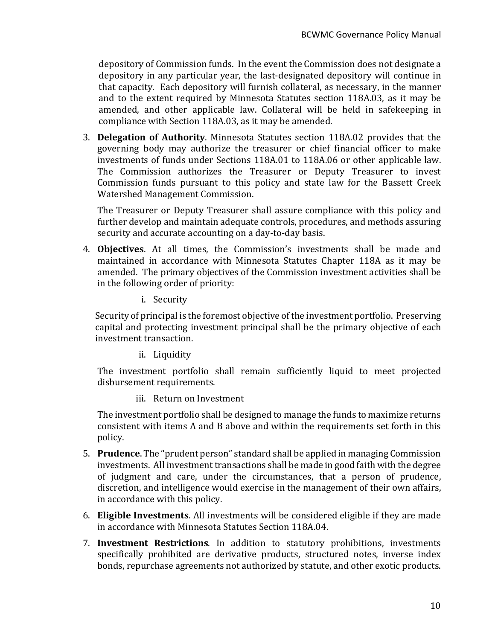depository of Commission funds. In the event the Commission does not designate a depository in any particular year, the last-designated depository will continue in that capacity. Each depository will furnish collateral, as necessary, in the manner and to the extent required by Minnesota Statutes section 118A.03, as it may be amended, and other applicable law. Collateral will be held in safekeeping in compliance with Section 118A.03, as it may be amended.

3. **Delegation of Authority**. Minnesota Statutes section 118A.02 provides that the governing body may authorize the treasurer or chief financial officer to make investments of funds under Sections 118A.01 to 118A.06 or other applicable law. The Commission authorizes the Treasurer or Deputy Treasurer to invest Commission funds pursuant to this policy and state law for the Bassett Creek Watershed Management Commission.

The Treasurer or Deputy Treasurer shall assure compliance with this policy and further develop and maintain adequate controls, procedures, and methods assuring security and accurate accounting on a day-to-day basis.

- 4. **Objectives**. At all times, the Commission's investments shall be made and maintained in accordance with Minnesota Statutes Chapter 118A as it may be amended. The primary objectives of the Commission investment activities shall be in the following order of priority:
	- i. Security

Security of principal is the foremost objective of the investment portfolio. Preserving capital and protecting investment principal shall be the primary objective of each investment transaction.

ii. Liquidity

The investment portfolio shall remain sufficiently liquid to meet projected disbursement requirements.

iii. Return on Investment

The investment portfolio shall be designed to manage the funds to maximize returns consistent with items A and B above and within the requirements set forth in this policy.

- 5. **Prudence**. The "prudent person" standard shall be applied in managing Commission investments. All investment transactions shall be made in good faith with the degree of judgment and care, under the circumstances, that a person of prudence, discretion, and intelligence would exercise in the management of their own affairs, in accordance with this policy.
- 6. **Eligible Investments**. All investments will be considered eligible if they are made in accordance with Minnesota Statutes Section 118A.04.
- 7. **Investment Restrictions**. In addition to statutory prohibitions, investments specifically prohibited are derivative products, structured notes, inverse index bonds, repurchase agreements not authorized by statute, and other exotic products.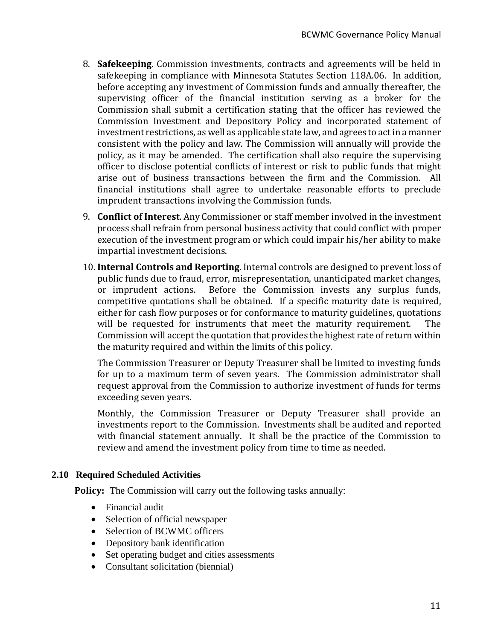- 8. **Safekeeping**. Commission investments, contracts and agreements will be held in safekeeping in compliance with Minnesota Statutes Section 118A.06. In addition, before accepting any investment of Commission funds and annually thereafter, the supervising officer of the financial institution serving as a broker for the Commission shall submit a certification stating that the officer has reviewed the Commission Investment and Depository Policy and incorporated statement of investment restrictions, as well as applicable state law, and agrees to act in a manner consistent with the policy and law. The Commission will annually will provide the policy, as it may be amended. The certification shall also require the supervising officer to disclose potential conflicts of interest or risk to public funds that might arise out of business transactions between the firm and the Commission. All financial institutions shall agree to undertake reasonable efforts to preclude imprudent transactions involving the Commission funds.
- 9. **Conflict of Interest**. Any Commissioner or staff member involved in the investment process shall refrain from personal business activity that could conflict with proper execution of the investment program or which could impair his/her ability to make impartial investment decisions.
- 10. **Internal Controls and Reporting**. Internal controls are designed to prevent loss of public funds due to fraud, error, misrepresentation, unanticipated market changes, or imprudent actions. Before the Commission invests any surplus funds. Before the Commission invests any surplus funds, competitive quotations shall be obtained. If a specific maturity date is required, either for cash flow purposes or for conformance to maturity guidelines, quotations<br>will be requested for instruments that meet the maturity requirement. The will be requested for instruments that meet the maturity requirement. Commission will accept the quotation that provides the highest rate of return within the maturity required and within the limits of this policy.

The Commission Treasurer or Deputy Treasurer shall be limited to investing funds for up to a maximum term of seven years. The Commission administrator shall request approval from the Commission to authorize investment of funds for terms exceeding seven years.

Monthly, the Commission Treasurer or Deputy Treasurer shall provide an investments report to the Commission. Investments shall be audited and reported with financial statement annually. It shall be the practice of the Commission to review and amend the investment policy from time to time as needed.

#### **2.10 Required Scheduled Activities**

<span id="page-10-0"></span>**Policy:** The Commission will carry out the following tasks annually:

- Financial audit
- Selection of official newspaper
- Selection of BCWMC officers
- Depository bank identification
- Set operating budget and cities assessments
- Consultant solicitation (biennial)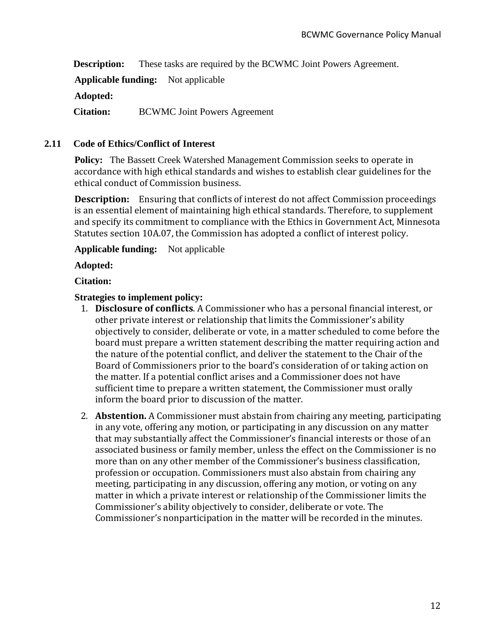**Description:** These tasks are required by the BCWMC Joint Powers Agreement.

**Applicable funding:** Not applicable

### **Adopted:**

**Citation:** BCWMC Joint Powers Agreement

#### <span id="page-11-0"></span>**2.11 Code of Ethics/Conflict of Interest**

**Policy:** The Bassett Creek Watershed Management Commission seeks to operate in accordance with high ethical standards and wishes to establish clear guidelines for the ethical conduct of Commission business.

**Description:** Ensuring that conflicts of interest do not affect Commission proceedings is an essential element of maintaining high ethical standards. Therefore, to supplement and specify its commitment to compliance with the Ethics in Government Act, Minnesota Statutes section 10A.07, the Commission has adopted a conflict of interest policy.

#### **Applicable funding:** Not applicable

#### **Adopted:**

#### **Citation:**

#### **Strategies to implement policy:**

- 1. **Disclosure of conflicts**. A Commissioner who has a personal financial interest, or other private interest or relationship that limits the Commissioner's ability objectively to consider, deliberate or vote, in a matter scheduled to come before the board must prepare a written statement describing the matter requiring action and the nature of the potential conflict, and deliver the statement to the Chair of the Board of Commissioners prior to the board's consideration of or taking action on the matter. If a potential conflict arises and a Commissioner does not have sufficient time to prepare a written statement, the Commissioner must orally inform the board prior to discussion of the matter.
- 2. **Abstention.** A Commissioner must abstain from chairing any meeting, participating in any vote, offering any motion, or participating in any discussion on any matter that may substantially affect the Commissioner's financial interests or those of an associated business or family member, unless the effect on the Commissioner is no more than on any other member of the Commissioner's business classification, profession or occupation. Commissioners must also abstain from chairing any meeting, participating in any discussion, offering any motion, or voting on any matter in which a private interest or relationship of the Commissioner limits the Commissioner's ability objectively to consider, deliberate or vote. The Commissioner's nonparticipation in the matter will be recorded in the minutes.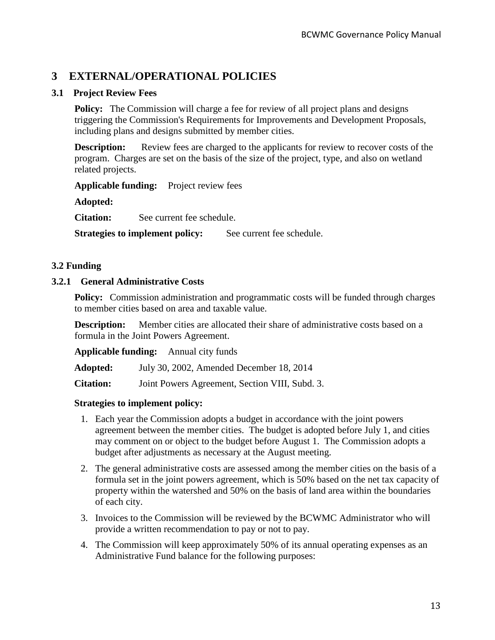# <span id="page-12-0"></span>**3 EXTERNAL/OPERATIONAL POLICIES**

#### <span id="page-12-1"></span>**3.1 Project Review Fees**

**Policy:** The Commission will charge a fee for review of all project plans and designs triggering the Commission's Requirements for Improvements and Development Proposals, including plans and designs submitted by member cities.

**Description:** Review fees are charged to the applicants for review to recover costs of the program. Charges are set on the basis of the size of the project, type, and also on wetland related projects.

**Applicable funding:** Project review fees

**Adopted:**

**Citation:** See current fee schedule.

**Strategies to implement policy:** See current fee schedule.

#### <span id="page-12-2"></span>**3.2 Funding**

#### **3.2.1 General Administrative Costs**

**Policy:** Commission administration and programmatic costs will be funded through charges to member cities based on area and taxable value.

**Description:** Member cities are allocated their share of administrative costs based on a formula in the Joint Powers Agreement.

**Applicable funding:** Annual city funds

**Adopted:** July 30, 2002, Amended December 18, 2014

**Citation:** Joint Powers Agreement, Section VIII, Subd. 3.

#### **Strategies to implement policy:**

- 1. Each year the Commission adopts a budget in accordance with the joint powers agreement between the member cities. The budget is adopted before July 1, and cities may comment on or object to the budget before August 1. The Commission adopts a budget after adjustments as necessary at the August meeting.
- 2. The general administrative costs are assessed among the member cities on the basis of a formula set in the joint powers agreement, which is 50% based on the net tax capacity of property within the watershed and 50% on the basis of land area within the boundaries of each city.
- 3. Invoices to the Commission will be reviewed by the BCWMC Administrator who will provide a written recommendation to pay or not to pay.
- 4. The Commission will keep approximately 50% of its annual operating expenses as an Administrative Fund balance for the following purposes: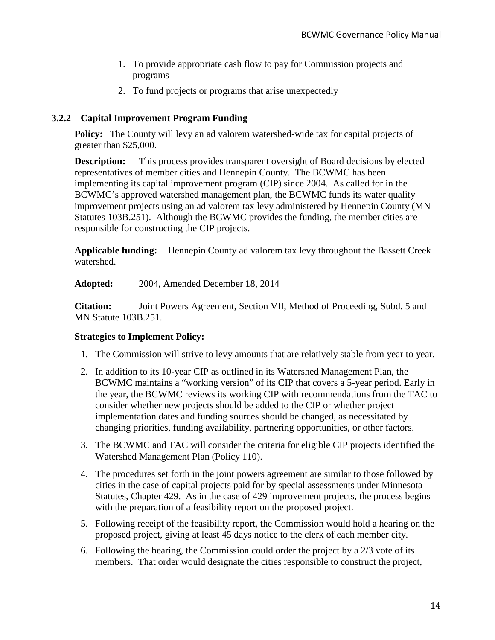- 1. To provide appropriate cash flow to pay for Commission projects and programs
- 2. To fund projects or programs that arise unexpectedly

# **3.2.2 Capital Improvement Program Funding**

**Policy:** The County will levy an ad valorem watershed-wide tax for capital projects of greater than \$25,000.

**Description:** This process provides transparent oversight of Board decisions by elected representatives of member cities and Hennepin County. The BCWMC has been implementing its capital improvement program (CIP) since 2004. As called for in the BCWMC's approved watershed management plan, the BCWMC funds its water quality improvement projects using an ad valorem tax levy administered by Hennepin County (MN Statutes 103B.251). Although the BCWMC provides the funding, the member cities are responsible for constructing the CIP projects.

**Applicable funding:** Hennepin County ad valorem tax levy throughout the Bassett Creek watershed.

**Adopted:** 2004, Amended December 18, 2014

**Citation:** Joint Powers Agreement, Section VII, Method of Proceeding, Subd. 5 and MN Statute 103B.251.

# **Strategies to Implement Policy:**

- 1. The Commission will strive to levy amounts that are relatively stable from year to year.
- 2. In addition to its 10-year CIP as outlined in its Watershed Management Plan, the BCWMC maintains a "working version" of its CIP that covers a 5-year period. Early in the year, the BCWMC reviews its working CIP with recommendations from the TAC to consider whether new projects should be added to the CIP or whether project implementation dates and funding sources should be changed, as necessitated by changing priorities, funding availability, partnering opportunities, or other factors.
- 3. The BCWMC and TAC will consider the criteria for eligible CIP projects identified the Watershed Management Plan (Policy 110).
- 4. The procedures set forth in the joint powers agreement are similar to those followed by cities in the case of capital projects paid for by special assessments under Minnesota Statutes, Chapter 429. As in the case of 429 improvement projects, the process begins with the preparation of a feasibility report on the proposed project.
- 5. Following receipt of the feasibility report, the Commission would hold a hearing on the proposed project, giving at least 45 days notice to the clerk of each member city.
- 6. Following the hearing, the Commission could order the project by a 2/3 vote of its members. That order would designate the cities responsible to construct the project,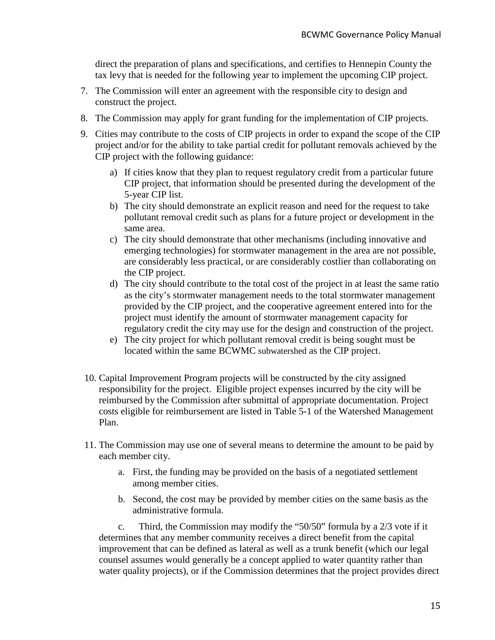direct the preparation of plans and specifications, and certifies to Hennepin County the tax levy that is needed for the following year to implement the upcoming CIP project.

- 7. The Commission will enter an agreement with the responsible city to design and construct the project.
- 8. The Commission may apply for grant funding for the implementation of CIP projects.
- 9. Cities may contribute to the costs of CIP projects in order to expand the scope of the CIP project and/or for the ability to take partial credit for pollutant removals achieved by the CIP project with the following guidance:
	- a) If cities know that they plan to request regulatory credit from a particular future CIP project, that information should be presented during the development of the 5-year CIP list.
	- b) The city should demonstrate an explicit reason and need for the request to take pollutant removal credit such as plans for a future project or development in the same area.
	- c) The city should demonstrate that other mechanisms (including innovative and emerging technologies) for stormwater management in the area are not possible, are considerably less practical, or are considerably costlier than collaborating on the CIP project.
	- d) The city should contribute to the total cost of the project in at least the same ratio as the city's stormwater management needs to the total stormwater management provided by the CIP project, and the cooperative agreement entered into for the project must identify the amount of stormwater management capacity for regulatory credit the city may use for the design and construction of the project.
	- e) The city project for which pollutant removal credit is being sought must be located within the same BCWMC [subwatershed](http://www.bassettcreekwmo.org/lakes-streams) as the CIP project.
- 10. Capital Improvement Program projects will be constructed by the city assigned responsibility for the project. Eligible project expenses incurred by the city will be reimbursed by the Commission after submittal of appropriate documentation. Project costs eligible for reimbursement are listed in Table 5-1 of the Watershed Management Plan.
- 11. The Commission may use one of several means to determine the amount to be paid by each member city.
	- a. First, the funding may be provided on the basis of a negotiated settlement among member cities.
	- b. Second, the cost may be provided by member cities on the same basis as the administrative formula.

c. Third, the Commission may modify the "50/50" formula by a 2/3 vote if it determines that any member community receives a direct benefit from the capital improvement that can be defined as lateral as well as a trunk benefit (which our legal counsel assumes would generally be a concept applied to water quantity rather than water quality projects), or if the Commission determines that the project provides direct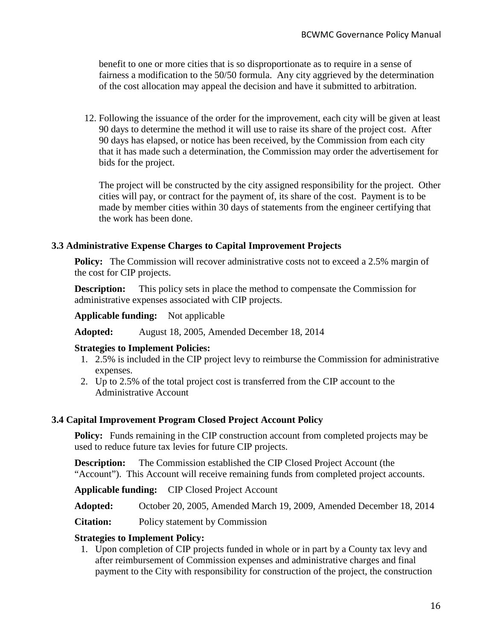benefit to one or more cities that is so disproportionate as to require in a sense of fairness a modification to the 50/50 formula. Any city aggrieved by the determination of the cost allocation may appeal the decision and have it submitted to arbitration.

12. Following the issuance of the order for the improvement, each city will be given at least 90 days to determine the method it will use to raise its share of the project cost. After 90 days has elapsed, or notice has been received, by the Commission from each city that it has made such a determination, the Commission may order the advertisement for bids for the project.

The project will be constructed by the city assigned responsibility for the project. Other cities will pay, or contract for the payment of, its share of the cost. Payment is to be made by member cities within 30 days of statements from the engineer certifying that the work has been done.

#### <span id="page-15-0"></span>**3.3 Administrative Expense Charges to Capital Improvement Projects**

**Policy:** The Commission will recover administrative costs not to exceed a 2.5% margin of the cost for CIP projects.

**Description:** This policy sets in place the method to compensate the Commission for administrative expenses associated with CIP projects.

**Applicable funding:** Not applicable

**Adopted:** August 18, 2005, Amended December 18, 2014

#### **Strategies to Implement Policies:**

- 1. 2.5% is included in the CIP project levy to reimburse the Commission for administrative expenses.
- 2. Up to 2.5% of the total project cost is transferred from the CIP account to the Administrative Account

#### <span id="page-15-1"></span>**3.4 Capital Improvement Program Closed Project Account Policy**

**Policy:** Funds remaining in the CIP construction account from completed projects may be used to reduce future tax levies for future CIP projects.

**Description:** The Commission established the CIP Closed Project Account (the "Account"). This Account will receive remaining funds from completed project accounts.

**Applicable funding:** CIP Closed Project Account

**Adopted:** October 20, 2005, Amended March 19, 2009, Amended December 18, 2014

**Citation:** Policy statement by Commission

#### **Strategies to Implement Policy:**

1. Upon completion of CIP projects funded in whole or in part by a County tax levy and after reimbursement of Commission expenses and administrative charges and final payment to the City with responsibility for construction of the project, the construction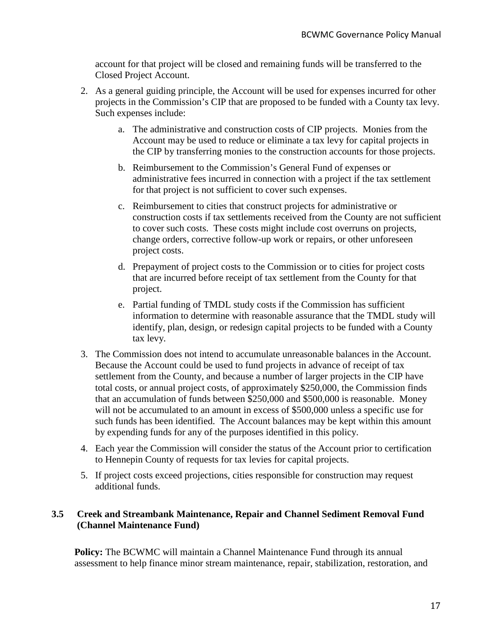account for that project will be closed and remaining funds will be transferred to the Closed Project Account.

- 2. As a general guiding principle, the Account will be used for expenses incurred for other projects in the Commission's CIP that are proposed to be funded with a County tax levy. Such expenses include:
	- a. The administrative and construction costs of CIP projects. Monies from the Account may be used to reduce or eliminate a tax levy for capital projects in the CIP by transferring monies to the construction accounts for those projects.
	- b. Reimbursement to the Commission's General Fund of expenses or administrative fees incurred in connection with a project if the tax settlement for that project is not sufficient to cover such expenses.
	- c. Reimbursement to cities that construct projects for administrative or construction costs if tax settlements received from the County are not sufficient to cover such costs. These costs might include cost overruns on projects, change orders, corrective follow-up work or repairs, or other unforeseen project costs.
	- d. Prepayment of project costs to the Commission or to cities for project costs that are incurred before receipt of tax settlement from the County for that project.
	- e. Partial funding of TMDL study costs if the Commission has sufficient information to determine with reasonable assurance that the TMDL study will identify, plan, design, or redesign capital projects to be funded with a County tax levy.
- 3. The Commission does not intend to accumulate unreasonable balances in the Account. Because the Account could be used to fund projects in advance of receipt of tax settlement from the County, and because a number of larger projects in the CIP have total costs, or annual project costs, of approximately \$250,000, the Commission finds that an accumulation of funds between \$250,000 and \$500,000 is reasonable. Money will not be accumulated to an amount in excess of \$500,000 unless a specific use for such funds has been identified. The Account balances may be kept within this amount by expending funds for any of the purposes identified in this policy.
- 4. Each year the Commission will consider the status of the Account prior to certification to Hennepin County of requests for tax levies for capital projects.
- 5. If project costs exceed projections, cities responsible for construction may request additional funds.

### <span id="page-16-0"></span>**3.5 Creek and Streambank Maintenance, Repair and Channel Sediment Removal Fund (Channel Maintenance Fund)**

**Policy:** The BCWMC will maintain a Channel Maintenance Fund through its annual assessment to help finance minor stream maintenance, repair, stabilization, restoration, and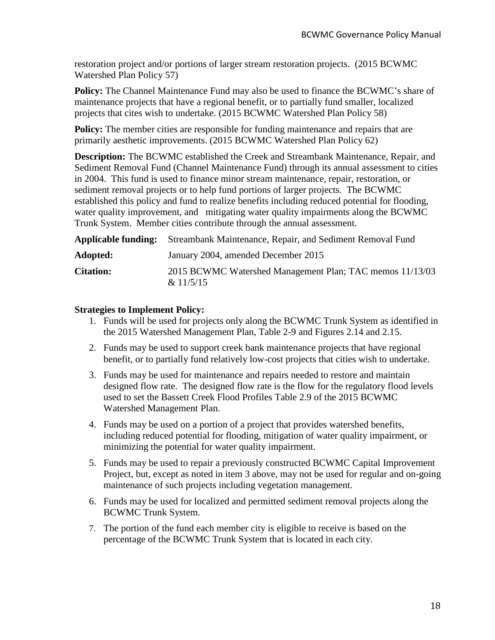restoration project and/or portions of larger stream restoration projects. (2015 BCWMC Watershed Plan Policy 57)

**Policy:** The Channel Maintenance Fund may also be used to finance the BCWMC's share of maintenance projects that have a regional benefit, or to partially fund smaller, localized projects that cites wish to undertake. (2015 BCWMC Watershed Plan Policy 58)

**Policy:** The member cities are responsible for funding maintenance and repairs that are primarily aesthetic improvements. (2015 BCWMC Watershed Plan Policy 62)

**Description:** The BCWMC established the Creek and Streambank Maintenance, Repair, and Sediment Removal Fund (Channel Maintenance Fund) through its annual assessment to cities in 2004. This fund is used to finance minor stream maintenance, repair, restoration, or sediment removal projects or to help fund portions of larger projects. The BCWMC established this policy and fund to realize benefits including reduced potential for flooding, water quality improvement, and mitigating water quality impairments along the BCWMC Trunk System. Member cities contribute through the annual assessment.

|                  | <b>Applicable funding:</b> Streambank Maintenance, Repair, and Sediment Removal Fund |
|------------------|--------------------------------------------------------------------------------------|
| Adopted:         | January 2004, amended December 2015                                                  |
| <b>Citation:</b> | 2015 BCWMC Watershed Management Plan; TAC memos 11/13/03<br>& 11/5/15                |

#### **Strategies to Implement Policy:**

- 1. Funds will be used for projects only along the BCWMC Trunk System as identified in the 2015 Watershed Management Plan, Table 2-9 and Figures 2.14 and 2.15.
- 2. Funds may be used to support creek bank maintenance projects that have regional benefit, or to partially fund relatively low-cost projects that cities wish to undertake.
- 3. Funds may be used for maintenance and repairs needed to restore and maintain designed flow rate. The designed flow rate is the flow for the regulatory flood levels used to set the Bassett Creek Flood Profiles Table 2.9 of the 2015 BCWMC Watershed Management Plan.
- 4. Funds may be used on a portion of a project that provides watershed benefits, including reduced potential for flooding, mitigation of water quality impairment, or minimizing the potential for water quality impairment.
- 5. Funds may be used to repair a previously constructed BCWMC Capital Improvement Project, but, except as noted in item 3 above, may not be used for regular and on-going maintenance of such projects including vegetation management.
- 6. Funds may be used for localized and permitted sediment removal projects along the BCWMC Trunk System.
- 7. The portion of the fund each member city is eligible to receive is based on the percentage of the BCWMC Trunk System that is located in each city.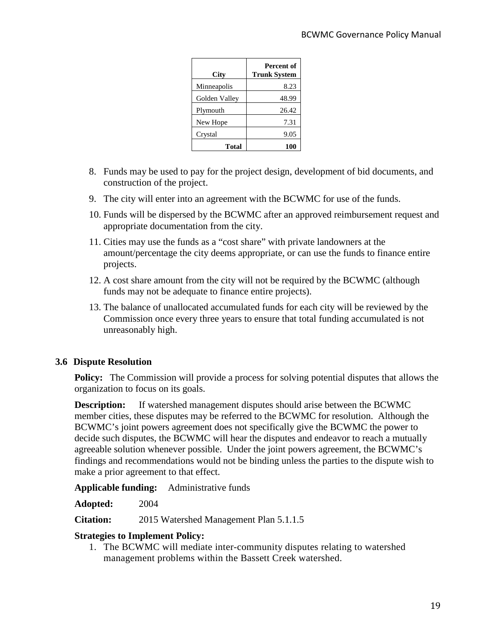| City          | <b>Percent of</b><br><b>Trunk System</b> |
|---------------|------------------------------------------|
| Minneapolis   | 8.23                                     |
| Golden Valley | 48.99                                    |
| Plymouth      | 26.42                                    |
| New Hope      | 7.31                                     |
| Crystal       | 9.05                                     |
| Total         | 100                                      |

- 8. Funds may be used to pay for the project design, development of bid documents, and construction of the project.
- 9. The city will enter into an agreement with the BCWMC for use of the funds.
- 10. Funds will be dispersed by the BCWMC after an approved reimbursement request and appropriate documentation from the city.
- 11. Cities may use the funds as a "cost share" with private landowners at the amount/percentage the city deems appropriate, or can use the funds to finance entire projects.
- 12. A cost share amount from the city will not be required by the BCWMC (although funds may not be adequate to finance entire projects).
- 13. The balance of unallocated accumulated funds for each city will be reviewed by the Commission once every three years to ensure that total funding accumulated is not unreasonably high.

#### <span id="page-18-0"></span>**3.6 Dispute Resolution**

**Policy:** The Commission will provide a process for solving potential disputes that allows the organization to focus on its goals.

**Description:** If watershed management disputes should arise between the BCWMC member cities, these disputes may be referred to the BCWMC for resolution. Although the BCWMC's joint powers agreement does not specifically give the BCWMC the power to decide such disputes, the BCWMC will hear the disputes and endeavor to reach a mutually agreeable solution whenever possible. Under the joint powers agreement, the BCWMC's findings and recommendations would not be binding unless the parties to the dispute wish to make a prior agreement to that effect.

**Applicable funding:** Administrative funds

**Adopted:** 2004

**Citation:** 2015 Watershed Management Plan 5.1.1.5

#### **Strategies to Implement Policy:**

1. The BCWMC will mediate inter-community disputes relating to watershed management problems within the Bassett Creek watershed.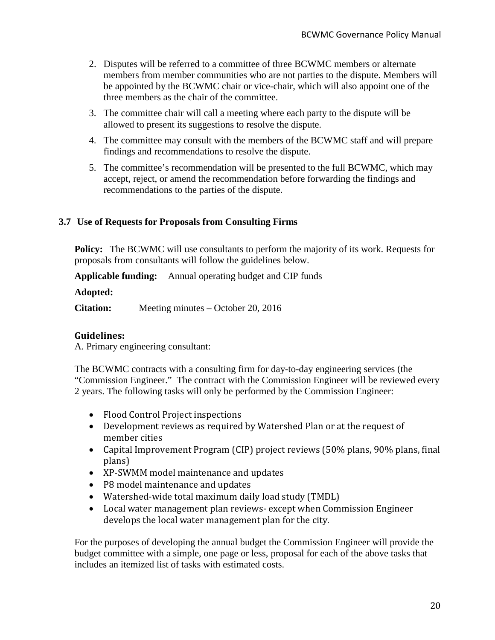- 2. Disputes will be referred to a committee of three BCWMC members or alternate members from member communities who are not parties to the dispute. Members will be appointed by the BCWMC chair or vice-chair, which will also appoint one of the three members as the chair of the committee.
- 3. The committee chair will call a meeting where each party to the dispute will be allowed to present its suggestions to resolve the dispute.
- 4. The committee may consult with the members of the BCWMC staff and will prepare findings and recommendations to resolve the dispute.
- 5. The committee's recommendation will be presented to the full BCWMC, which may accept, reject, or amend the recommendation before forwarding the findings and recommendations to the parties of the dispute.

#### <span id="page-19-0"></span>**3.7 Use of Requests for Proposals from Consulting Firms**

**Policy:** The BCWMC will use consultants to perform the majority of its work. Requests for proposals from consultants will follow the guidelines below.

**Applicable funding:** Annual operating budget and CIP funds

#### **Adopted:**

**Citation:** Meeting minutes – October 20, 2016

#### **Guidelines:**

A. Primary engineering consultant:

The BCWMC contracts with a consulting firm for day-to-day engineering services (the "Commission Engineer." The contract with the Commission Engineer will be reviewed every 2 years. The following tasks will only be performed by the Commission Engineer:

- Flood Control Project inspections
- Development reviews as required by Watershed Plan or at the request of member cities
- Capital Improvement Program (CIP) project reviews (50% plans, 90% plans, final plans)
- XP-SWMM model maintenance and updates
- P8 model maintenance and updates
- Watershed-wide total maximum daily load study (TMDL)
- Local water management plan reviews- except when Commission Engineer develops the local water management plan for the city.

For the purposes of developing the annual budget the Commission Engineer will provide the budget committee with a simple, one page or less, proposal for each of the above tasks that includes an itemized list of tasks with estimated costs.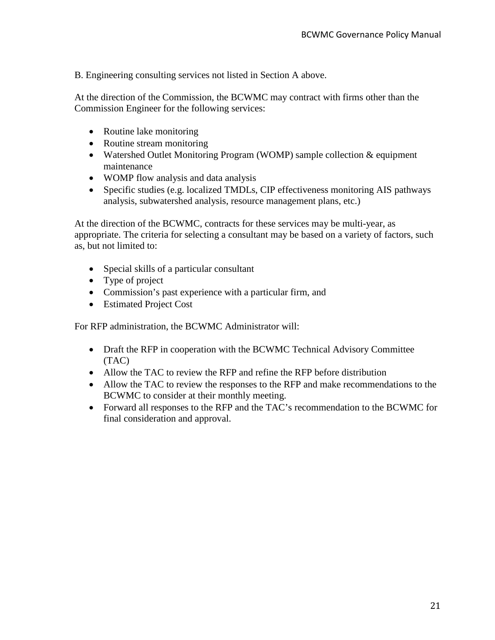B. Engineering consulting services not listed in Section A above.

At the direction of the Commission, the BCWMC may contract with firms other than the Commission Engineer for the following services:

- Routine lake monitoring
- Routine stream monitoring
- Watershed Outlet Monitoring Program (WOMP) sample collection & equipment maintenance
- WOMP flow analysis and data analysis
- Specific studies (e.g. localized TMDLs, CIP effectiveness monitoring AIS pathways analysis, subwatershed analysis, resource management plans, etc.)

At the direction of the BCWMC, contracts for these services may be multi-year, as appropriate. The criteria for selecting a consultant may be based on a variety of factors, such as, but not limited to:

- Special skills of a particular consultant
- Type of project
- Commission's past experience with a particular firm, and
- Estimated Project Cost

For RFP administration, the BCWMC Administrator will:

- Draft the RFP in cooperation with the BCWMC Technical Advisory Committee (TAC)
- Allow the TAC to review the RFP and refine the RFP before distribution
- Allow the TAC to review the responses to the RFP and make recommendations to the BCWMC to consider at their monthly meeting.
- Forward all responses to the RFP and the TAC's recommendation to the BCWMC for final consideration and approval.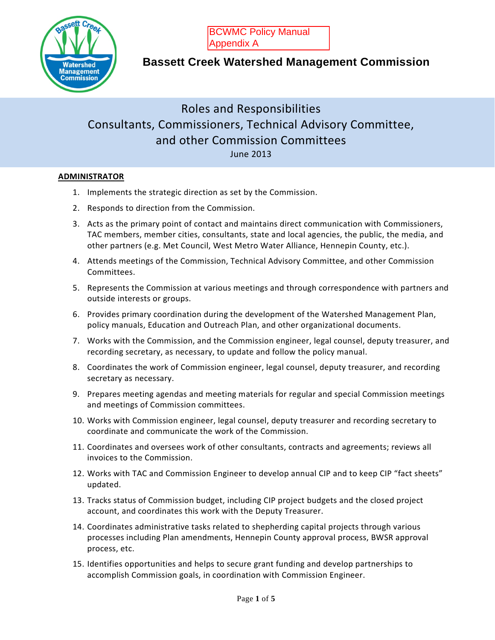

**Bassett Creek Watershed Management Commission**

# Roles and Responsibilities Consultants, Commissioners, Technical Advisory Committee, and other Commission Committees June 2013

#### **ADMINISTRATOR**

- 1. Implements the strategic direction as set by the Commission.
- 2. Responds to direction from the Commission.
- 3. Acts as the primary point of contact and maintains direct communication with Commissioners, TAC members, member cities, consultants, state and local agencies, the public, the media, and other partners (e.g. Met Council, West Metro Water Alliance, Hennepin County, etc.).
- 4. Attends meetings of the Commission, Technical Advisory Committee, and other Commission Committees.
- 5. Represents the Commission at various meetings and through correspondence with partners and outside interests or groups.
- 6. Provides primary coordination during the development of the Watershed Management Plan, policy manuals, Education and Outreach Plan, and other organizational documents.
- 7. Works with the Commission, and the Commission engineer, legal counsel, deputy treasurer, and recording secretary, as necessary, to update and follow the policy manual.
- 8. Coordinates the work of Commission engineer, legal counsel, deputy treasurer, and recording secretary as necessary.
- 9. Prepares meeting agendas and meeting materials for regular and special Commission meetings and meetings of Commission committees.
- 10. Works with Commission engineer, legal counsel, deputy treasurer and recording secretary to coordinate and communicate the work of the Commission.
- 11. Coordinates and oversees work of other consultants, contracts and agreements; reviews all invoices to the Commission.
- 12. Works with TAC and Commission Engineer to develop annual CIP and to keep CIP "fact sheets" updated.
- 13. Tracks status of Commission budget, including CIP project budgets and the closed project account, and coordinates this work with the Deputy Treasurer.
- 14. Coordinates administrative tasks related to shepherding capital projects through various processes including Plan amendments, Hennepin County approval process, BWSR approval process, etc.
- 15. Identifies opportunities and helps to secure grant funding and develop partnerships to accomplish Commission goals, in coordination with Commission Engineer.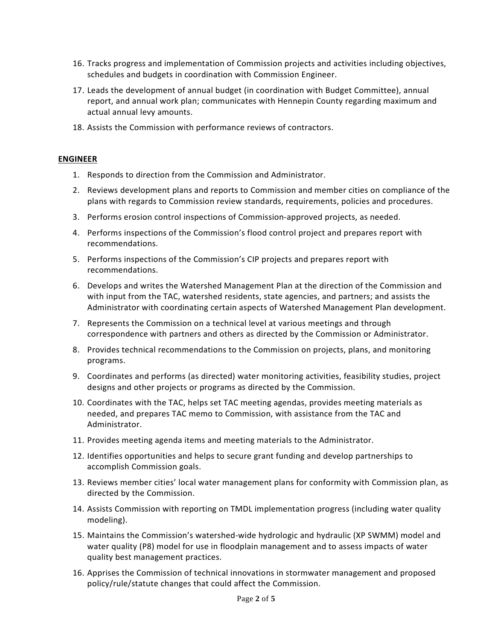- 16. Tracks progress and implementation of Commission projects and activities including objectives, schedules and budgets in coordination with Commission Engineer.
- 17. Leads the development of annual budget (in coordination with Budget Committee), annual report, and annual work plan; communicates with Hennepin County regarding maximum and actual annual levy amounts.
- 18. Assists the Commission with performance reviews of contractors.

#### **ENGINEER**

- 1. Responds to direction from the Commission and Administrator.
- 2. Reviews development plans and reports to Commission and member cities on compliance of the plans with regards to Commission review standards, requirements, policies and procedures.
- 3. Performs erosion control inspections of Commission-approved projects, as needed.
- 4. Performs inspections of the Commission's flood control project and prepares report with recommendations.
- 5. Performs inspections of the Commission's CIP projects and prepares report with recommendations.
- 6. Develops and writes the Watershed Management Plan at the direction of the Commission and with input from the TAC, watershed residents, state agencies, and partners; and assists the Administrator with coordinating certain aspects of Watershed Management Plan development.
- 7. Represents the Commission on a technical level at various meetings and through correspondence with partners and others as directed by the Commission or Administrator.
- 8. Provides technical recommendations to the Commission on projects, plans, and monitoring programs.
- 9. Coordinates and performs (as directed) water monitoring activities, feasibility studies, project designs and other projects or programs as directed by the Commission.
- 10. Coordinates with the TAC, helps set TAC meeting agendas, provides meeting materials as needed, and prepares TAC memo to Commission, with assistance from the TAC and Administrator.
- 11. Provides meeting agenda items and meeting materials to the Administrator.
- 12. Identifies opportunities and helps to secure grant funding and develop partnerships to accomplish Commission goals.
- 13. Reviews member cities' local water management plans for conformity with Commission plan, as directed by the Commission.
- 14. Assists Commission with reporting on TMDL implementation progress (including water quality modeling).
- 15. Maintains the Commission's watershed-wide hydrologic and hydraulic (XP SWMM) model and water quality (P8) model for use in floodplain management and to assess impacts of water quality best management practices.
- 16. Apprises the Commission of technical innovations in stormwater management and proposed policy/rule/statute changes that could affect the Commission.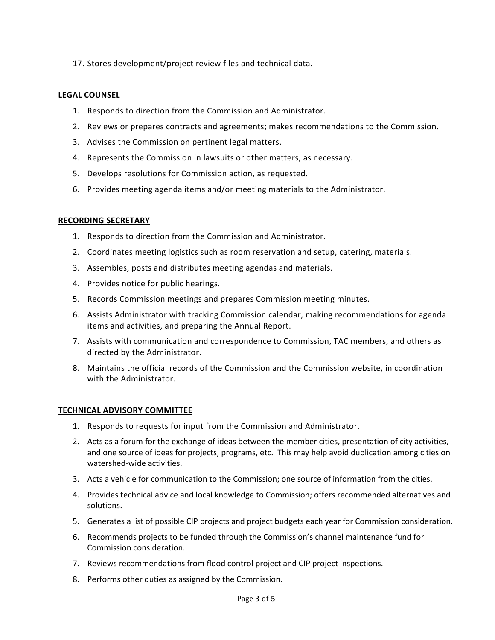17. Stores development/project review files and technical data.

#### **LEGAL COUNSEL**

- 1. Responds to direction from the Commission and Administrator.
- 2. Reviews or prepares contracts and agreements; makes recommendations to the Commission.
- 3. Advises the Commission on pertinent legal matters.
- 4. Represents the Commission in lawsuits or other matters, as necessary.
- 5. Develops resolutions for Commission action, as requested.
- 6. Provides meeting agenda items and/or meeting materials to the Administrator.

#### **RECORDING SECRETARY**

- 1. Responds to direction from the Commission and Administrator.
- 2. Coordinates meeting logistics such as room reservation and setup, catering, materials.
- 3. Assembles, posts and distributes meeting agendas and materials.
- 4. Provides notice for public hearings.
- 5. Records Commission meetings and prepares Commission meeting minutes.
- 6. Assists Administrator with tracking Commission calendar, making recommendations for agenda items and activities, and preparing the Annual Report.
- 7. Assists with communication and correspondence to Commission, TAC members, and others as directed by the Administrator.
- 8. Maintains the official records of the Commission and the Commission website, in coordination with the Administrator.

#### **TECHNICAL ADVISORY COMMITTEE**

- 1. Responds to requests for input from the Commission and Administrator.
- 2. Acts as a forum for the exchange of ideas between the member cities, presentation of city activities, and one source of ideas for projects, programs, etc. This may help avoid duplication among cities on watershed-wide activities.
- 3. Acts a vehicle for communication to the Commission; one source of information from the cities.
- 4. Provides technical advice and local knowledge to Commission; offers recommended alternatives and solutions.
- 5. Generates a list of possible CIP projects and project budgets each year for Commission consideration.
- 6. Recommends projects to be funded through the Commission's channel maintenance fund for Commission consideration.
- 7. Reviews recommendations from flood control project and CIP project inspections.
- 8. Performs other duties as assigned by the Commission.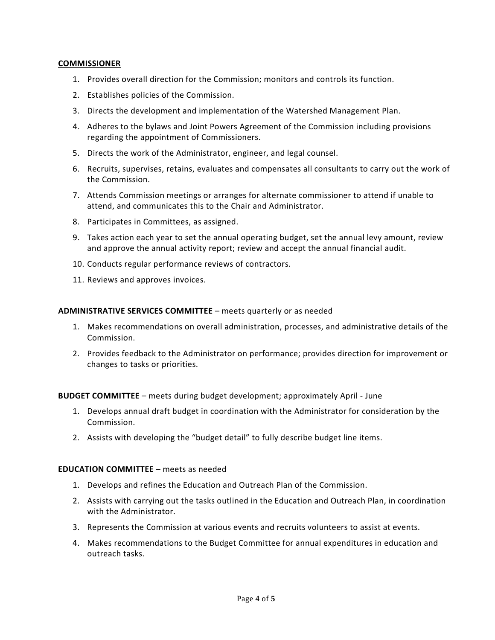#### **COMMISSIONER**

- 1. Provides overall direction for the Commission; monitors and controls its function.
- 2. Establishes policies of the Commission.
- 3. Directs the development and implementation of the Watershed Management Plan.
- 4. Adheres to the bylaws and Joint Powers Agreement of the Commission including provisions regarding the appointment of Commissioners.
- 5. Directs the work of the Administrator, engineer, and legal counsel.
- 6. Recruits, supervises, retains, evaluates and compensates all consultants to carry out the work of the Commission.
- 7. Attends Commission meetings or arranges for alternate commissioner to attend if unable to attend, and communicates this to the Chair and Administrator.
- 8. Participates in Committees, as assigned.
- 9. Takes action each year to set the annual operating budget, set the annual levy amount, review and approve the annual activity report; review and accept the annual financial audit.
- 10. Conducts regular performance reviews of contractors.
- 11. Reviews and approves invoices.

#### **ADMINISTRATIVE SERVICES COMMITTEE** – meets quarterly or as needed

- 1. Makes recommendations on overall administration, processes, and administrative details of the Commission.
- 2. Provides feedback to the Administrator on performance; provides direction for improvement or changes to tasks or priorities.

**BUDGET COMMITTEE** – meets during budget development; approximately April - June

- 1. Develops annual draft budget in coordination with the Administrator for consideration by the Commission.
- 2. Assists with developing the "budget detail" to fully describe budget line items.

#### **EDUCATION COMMITTEE** – meets as needed

- 1. Develops and refines the Education and Outreach Plan of the Commission.
- 2. Assists with carrying out the tasks outlined in the Education and Outreach Plan, in coordination with the Administrator.
- 3. Represents the Commission at various events and recruits volunteers to assist at events.
- 4. Makes recommendations to the Budget Committee for annual expenditures in education and outreach tasks.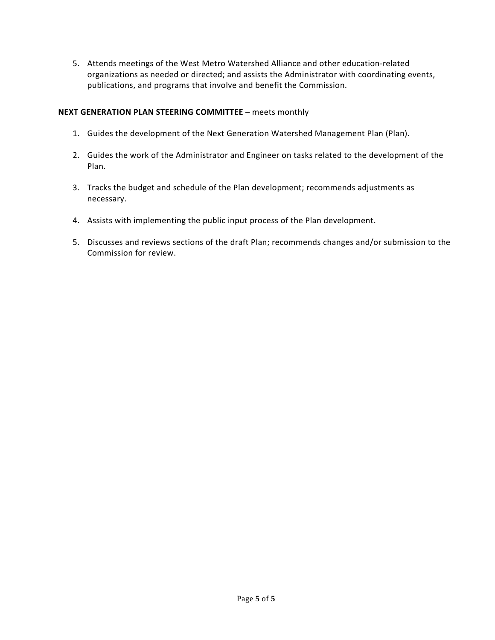5. Attends meetings of the West Metro Watershed Alliance and other education-related organizations as needed or directed; and assists the Administrator with coordinating events, publications, and programs that involve and benefit the Commission.

#### **NEXT GENERATION PLAN STEERING COMMITTEE** – meets monthly

- 1. Guides the development of the Next Generation Watershed Management Plan (Plan).
- 2. Guides the work of the Administrator and Engineer on tasks related to the development of the Plan.
- 3. Tracks the budget and schedule of the Plan development; recommends adjustments as necessary.
- 4. Assists with implementing the public input process of the Plan development.
- 5. Discusses and reviews sections of the draft Plan; recommends changes and/or submission to the Commission for review.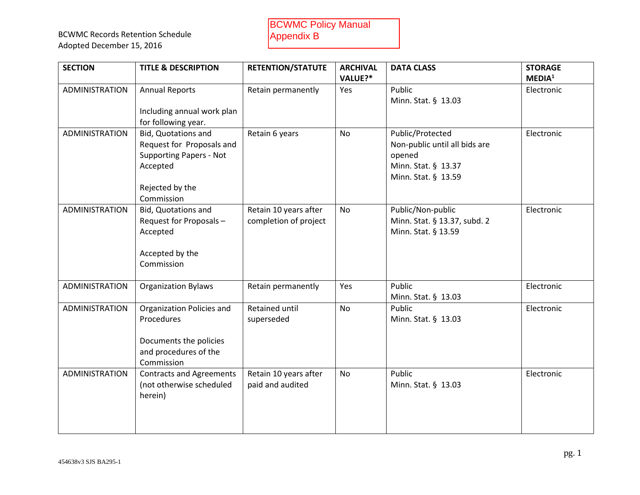BCWMC Policy Manual Appendix B

| <b>SECTION</b>        | <b>TITLE &amp; DESCRIPTION</b>                                                                                                         | <b>RETENTION/STATUTE</b>                       | <b>ARCHIVAL</b><br>VALUE?* | <b>DATA CLASS</b>                                                                                         | <b>STORAGE</b><br>MEDIA <sup>1</sup> |
|-----------------------|----------------------------------------------------------------------------------------------------------------------------------------|------------------------------------------------|----------------------------|-----------------------------------------------------------------------------------------------------------|--------------------------------------|
| <b>ADMINISTRATION</b> | <b>Annual Reports</b><br>Including annual work plan<br>for following year.                                                             | Retain permanently                             | Yes                        | Public<br>Minn. Stat. § 13.03                                                                             | Electronic                           |
| <b>ADMINISTRATION</b> | <b>Bid, Quotations and</b><br>Request for Proposals and<br><b>Supporting Papers - Not</b><br>Accepted<br>Rejected by the<br>Commission | Retain 6 years                                 | <b>No</b>                  | Public/Protected<br>Non-public until all bids are<br>opened<br>Minn. Stat. § 13.37<br>Minn. Stat. § 13.59 | Electronic                           |
| <b>ADMINISTRATION</b> | Bid, Quotations and<br>Request for Proposals -<br>Accepted<br>Accepted by the<br>Commission                                            | Retain 10 years after<br>completion of project | No                         | Public/Non-public<br>Minn. Stat. § 13.37, subd. 2<br>Minn. Stat. § 13.59                                  | Electronic                           |
| <b>ADMINISTRATION</b> | <b>Organization Bylaws</b>                                                                                                             | Retain permanently                             | Yes                        | Public<br>Minn. Stat. § 13.03                                                                             | Electronic                           |
| <b>ADMINISTRATION</b> | Organization Policies and<br>Procedures<br>Documents the policies<br>and procedures of the<br>Commission                               | <b>Retained until</b><br>superseded            | <b>No</b>                  | Public<br>Minn. Stat. § 13.03                                                                             | Electronic                           |
| <b>ADMINISTRATION</b> | <b>Contracts and Agreements</b><br>(not otherwise scheduled<br>herein)                                                                 | Retain 10 years after<br>paid and audited      | <b>No</b>                  | Public<br>Minn. Stat. § 13.03                                                                             | Electronic                           |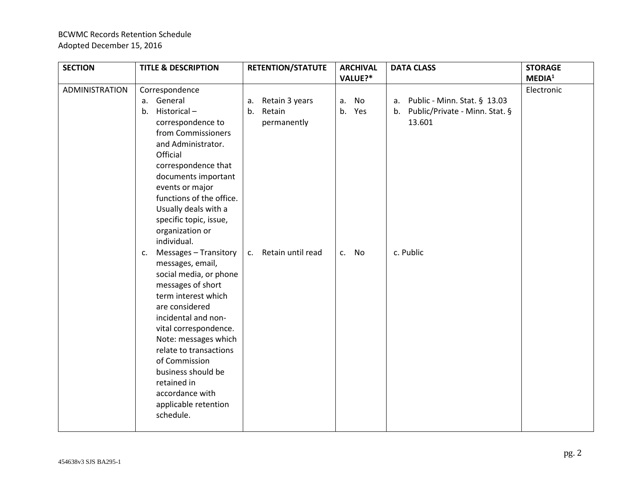| <b>SECTION</b> | <b>TITLE &amp; DESCRIPTION</b>                                                                                                                                                                                                                                                                                                                                                                                                                                                                                                                                                                                                                                             | RETENTION/STATUTE                                                           | <b>ARCHIVAL</b>                   | <b>DATA CLASS</b>                                                                           | <b>STORAGE</b>     |
|----------------|----------------------------------------------------------------------------------------------------------------------------------------------------------------------------------------------------------------------------------------------------------------------------------------------------------------------------------------------------------------------------------------------------------------------------------------------------------------------------------------------------------------------------------------------------------------------------------------------------------------------------------------------------------------------------|-----------------------------------------------------------------------------|-----------------------------------|---------------------------------------------------------------------------------------------|--------------------|
|                |                                                                                                                                                                                                                                                                                                                                                                                                                                                                                                                                                                                                                                                                            |                                                                             | VALUE?*                           |                                                                                             | $\mathsf{MEDIA}^1$ |
| ADMINISTRATION | Correspondence<br>a. General<br>Historical-<br>b.<br>correspondence to<br>from Commissioners<br>and Administrator.<br>Official<br>correspondence that<br>documents important<br>events or major<br>functions of the office.<br>Usually deals with a<br>specific topic, issue,<br>organization or<br>individual.<br>Messages - Transitory<br>c.<br>messages, email,<br>social media, or phone<br>messages of short<br>term interest which<br>are considered<br>incidental and non-<br>vital correspondence.<br>Note: messages which<br>relate to transactions<br>of Commission<br>business should be<br>retained in<br>accordance with<br>applicable retention<br>schedule. | Retain 3 years<br>а.<br>Retain<br>b.<br>permanently<br>c. Retain until read | No<br>a.<br>Yes<br>b.<br>No<br>c. | a. Public - Minn. Stat. § 13.03<br>b. Public/Private - Minn. Stat. §<br>13.601<br>c. Public | Electronic         |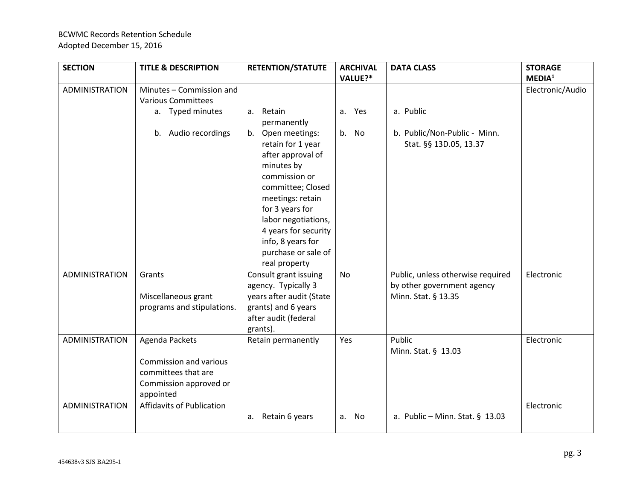| <b>SECTION</b>        | <b>TITLE &amp; DESCRIPTION</b> | <b>RETENTION/STATUTE</b> | <b>ARCHIVAL</b> | <b>DATA CLASS</b>                 | <b>STORAGE</b>     |
|-----------------------|--------------------------------|--------------------------|-----------------|-----------------------------------|--------------------|
|                       |                                |                          | VALUE?*         |                                   | MEDIA <sup>1</sup> |
| <b>ADMINISTRATION</b> | Minutes - Commission and       |                          |                 |                                   | Electronic/Audio   |
|                       | <b>Various Committees</b>      |                          |                 |                                   |                    |
|                       | a. Typed minutes               | Retain<br>а.             | a. Yes          | a. Public                         |                    |
|                       |                                | permanently              |                 |                                   |                    |
|                       | b. Audio recordings            | Open meetings:<br>b.     | b. No           | b. Public/Non-Public - Minn.      |                    |
|                       |                                | retain for 1 year        |                 | Stat. §§ 13D.05, 13.37            |                    |
|                       |                                | after approval of        |                 |                                   |                    |
|                       |                                | minutes by               |                 |                                   |                    |
|                       |                                | commission or            |                 |                                   |                    |
|                       |                                | committee; Closed        |                 |                                   |                    |
|                       |                                | meetings: retain         |                 |                                   |                    |
|                       |                                | for 3 years for          |                 |                                   |                    |
|                       |                                | labor negotiations,      |                 |                                   |                    |
|                       |                                | 4 years for security     |                 |                                   |                    |
|                       |                                | info, 8 years for        |                 |                                   |                    |
|                       |                                | purchase or sale of      |                 |                                   |                    |
|                       |                                | real property            |                 |                                   |                    |
| <b>ADMINISTRATION</b> | Grants                         | Consult grant issuing    | <b>No</b>       | Public, unless otherwise required | Electronic         |
|                       |                                | agency. Typically 3      |                 | by other government agency        |                    |
|                       | Miscellaneous grant            | years after audit (State |                 | Minn. Stat. § 13.35               |                    |
|                       | programs and stipulations.     | grants) and 6 years      |                 |                                   |                    |
|                       |                                | after audit (federal     |                 |                                   |                    |
|                       |                                | grants).                 |                 |                                   |                    |
| <b>ADMINISTRATION</b> | Agenda Packets                 | Retain permanently       | Yes             | Public                            | Electronic         |
|                       |                                |                          |                 | Minn. Stat. § 13.03               |                    |
|                       | Commission and various         |                          |                 |                                   |                    |
|                       | committees that are            |                          |                 |                                   |                    |
|                       | Commission approved or         |                          |                 |                                   |                    |
|                       | appointed                      |                          |                 |                                   |                    |
| <b>ADMINISTRATION</b> | Affidavits of Publication      |                          |                 |                                   | Electronic         |
|                       |                                | Retain 6 years<br>а.     | a. No           | a. Public - Minn. Stat. § $13.03$ |                    |
|                       |                                |                          |                 |                                   |                    |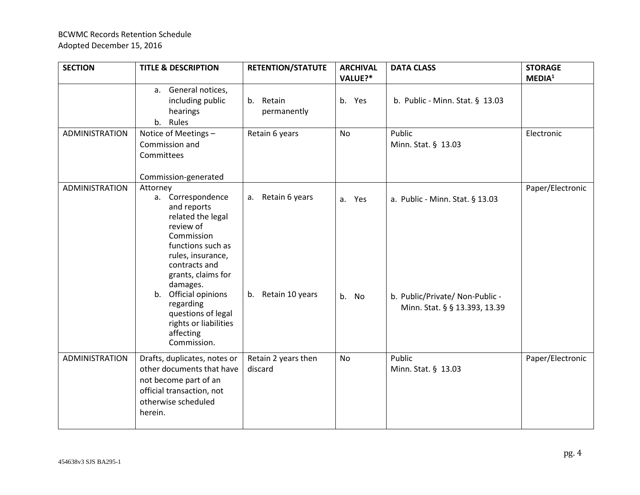| <b>SECTION</b>        | <b>TITLE &amp; DESCRIPTION</b>                                                                                                                                                                                                                                                                               | <b>RETENTION/STATUTE</b>                   | <b>ARCHIVAL</b><br>VALUE?* | <b>DATA CLASS</b>                                                                                   | <b>STORAGE</b><br>MEDIA <sup>1</sup> |
|-----------------------|--------------------------------------------------------------------------------------------------------------------------------------------------------------------------------------------------------------------------------------------------------------------------------------------------------------|--------------------------------------------|----------------------------|-----------------------------------------------------------------------------------------------------|--------------------------------------|
|                       | a. General notices,<br>including public<br>hearings<br>b. Rules                                                                                                                                                                                                                                              | b. Retain<br>permanently                   | b. Yes                     | b. Public - Minn. Stat. $§$ 13.03                                                                   |                                      |
| <b>ADMINISTRATION</b> | Notice of Meetings -<br>Commission and<br>Committees<br>Commission-generated                                                                                                                                                                                                                                 | Retain 6 years                             | <b>No</b>                  | Public<br>Minn. Stat. § 13.03                                                                       | Electronic                           |
| <b>ADMINISTRATION</b> | Attorney<br>a. Correspondence<br>and reports<br>related the legal<br>review of<br>Commission<br>functions such as<br>rules, insurance,<br>contracts and<br>grants, claims for<br>damages.<br>Official opinions<br>b.<br>regarding<br>questions of legal<br>rights or liabilities<br>affecting<br>Commission. | Retain 6 years<br>а.<br>b. Retain 10 years | a. Yes<br>b.<br>No         | a. Public - Minn. Stat. § 13.03<br>b. Public/Private/ Non-Public -<br>Minn. Stat. § § 13.393, 13.39 | Paper/Electronic                     |
| <b>ADMINISTRATION</b> | Drafts, duplicates, notes or<br>other documents that have<br>not become part of an<br>official transaction, not<br>otherwise scheduled<br>herein.                                                                                                                                                            | Retain 2 years then<br>discard             | No                         | Public<br>Minn. Stat. § 13.03                                                                       | Paper/Electronic                     |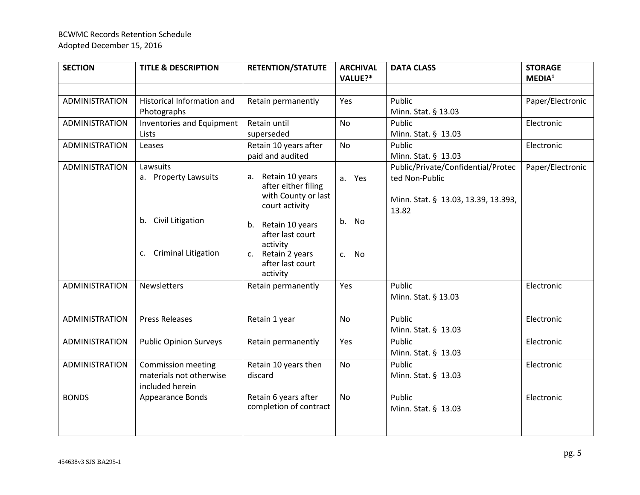| <b>SECTION</b>        | <b>TITLE &amp; DESCRIPTION</b>             | <b>RETENTION/STATUTE</b>                             | <b>ARCHIVAL</b><br>VALUE?* | <b>DATA CLASS</b>                            | <b>STORAGE</b><br>MEDIA <sup>1</sup> |
|-----------------------|--------------------------------------------|------------------------------------------------------|----------------------------|----------------------------------------------|--------------------------------------|
|                       |                                            |                                                      |                            |                                              |                                      |
| ADMINISTRATION        | Historical Information and                 | Retain permanently                                   | Yes                        | Public                                       | Paper/Electronic                     |
|                       | Photographs                                |                                                      |                            | Minn. Stat. § 13.03                          |                                      |
| <b>ADMINISTRATION</b> | <b>Inventories and Equipment</b>           | Retain until                                         | No                         | Public                                       | Electronic                           |
|                       | Lists                                      | superseded                                           |                            | Minn. Stat. § 13.03                          |                                      |
| ADMINISTRATION        | Leases                                     | Retain 10 years after                                | <b>No</b>                  | Public                                       | Electronic                           |
|                       |                                            | paid and audited                                     |                            | Minn. Stat. § 13.03                          |                                      |
| ADMINISTRATION        | Lawsuits                                   |                                                      |                            | Public/Private/Confidential/Protec           | Paper/Electronic                     |
|                       | a. Property Lawsuits                       | a. Retain 10 years<br>after either filing            | a. Yes                     | ted Non-Public                               |                                      |
|                       |                                            | with County or last<br>court activity                |                            | Minn. Stat. § 13.03, 13.39, 13.393,<br>13.82 |                                      |
|                       | b. Civil Litigation                        | b. Retain 10 years<br>after last court<br>activity   | b.<br>No                   |                                              |                                      |
|                       | c. Criminal Litigation                     | Retain 2 years<br>c.<br>after last court<br>activity | c.<br>No                   |                                              |                                      |
| <b>ADMINISTRATION</b> | Newsletters                                | Retain permanently                                   | Yes                        | Public<br>Minn. Stat. § 13.03                | Electronic                           |
| <b>ADMINISTRATION</b> | <b>Press Releases</b>                      | Retain 1 year                                        | No                         | Public                                       | Electronic                           |
|                       |                                            |                                                      |                            | Minn. Stat. § 13.03                          |                                      |
| <b>ADMINISTRATION</b> | <b>Public Opinion Surveys</b>              | Retain permanently                                   | Yes                        | Public                                       | Electronic                           |
|                       |                                            |                                                      |                            | Minn. Stat. § 13.03                          |                                      |
| <b>ADMINISTRATION</b> | <b>Commission meeting</b>                  | Retain 10 years then                                 | <b>No</b>                  | Public                                       | Electronic                           |
|                       | materials not otherwise<br>included herein | discard                                              |                            | Minn. Stat. § 13.03                          |                                      |
| <b>BONDS</b>          | Appearance Bonds                           | Retain 6 years after                                 | <b>No</b>                  | Public                                       | Electronic                           |
|                       |                                            | completion of contract                               |                            | Minn. Stat. § 13.03                          |                                      |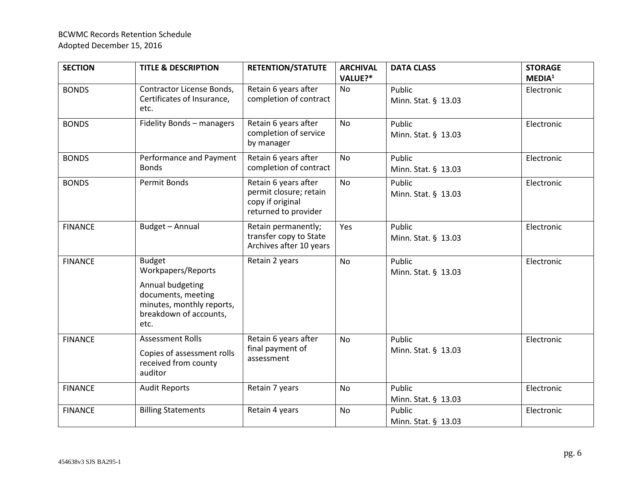| <b>SECTION</b> | <b>TITLE &amp; DESCRIPTION</b>                                                                        | <b>RETENTION/STATUTE</b>                                                                   | <b>ARCHIVAL</b><br>VALUE?* | <b>DATA CLASS</b>             | <b>STORAGE</b><br>MEDIA <sup>1</sup> |
|----------------|-------------------------------------------------------------------------------------------------------|--------------------------------------------------------------------------------------------|----------------------------|-------------------------------|--------------------------------------|
| <b>BONDS</b>   | Contractor License Bonds,<br>Certificates of Insurance,<br>etc.                                       | Retain 6 years after<br>completion of contract                                             | <b>No</b>                  | Public<br>Minn. Stat. § 13.03 | Electronic                           |
| <b>BONDS</b>   | Fidelity Bonds - managers                                                                             | Retain 6 years after<br>completion of service<br>by manager                                | <b>No</b>                  | Public<br>Minn. Stat. § 13.03 | Electronic                           |
| <b>BONDS</b>   | Performance and Payment<br><b>Bonds</b>                                                               | Retain 6 years after<br>completion of contract                                             | <b>No</b>                  | Public<br>Minn. Stat. § 13.03 | Electronic                           |
| <b>BONDS</b>   | Permit Bonds                                                                                          | Retain 6 years after<br>permit closure; retain<br>copy if original<br>returned to provider | No                         | Public<br>Minn. Stat. § 13.03 | Electronic                           |
| <b>FINANCE</b> | Budget - Annual                                                                                       | Retain permanently;<br>transfer copy to State<br>Archives after 10 years                   | Yes                        | Public<br>Minn. Stat. § 13.03 | Electronic                           |
| <b>FINANCE</b> | <b>Budget</b><br>Workpapers/Reports                                                                   | Retain 2 years                                                                             | <b>No</b>                  | Public<br>Minn. Stat. § 13.03 | Electronic                           |
|                | Annual budgeting<br>documents, meeting<br>minutes, monthly reports,<br>breakdown of accounts,<br>etc. |                                                                                            |                            |                               |                                      |
| <b>FINANCE</b> | <b>Assessment Rolls</b><br>Copies of assessment rolls<br>received from county<br>auditor              | Retain 6 years after<br>final payment of<br>assessment                                     | <b>No</b>                  | Public<br>Minn. Stat. § 13.03 | Electronic                           |
| <b>FINANCE</b> | <b>Audit Reports</b>                                                                                  | Retain 7 years                                                                             | <b>No</b>                  | Public<br>Minn. Stat. § 13.03 | Electronic                           |
| <b>FINANCE</b> | <b>Billing Statements</b>                                                                             | Retain 4 years                                                                             | <b>No</b>                  | Public<br>Minn. Stat. § 13.03 | Electronic                           |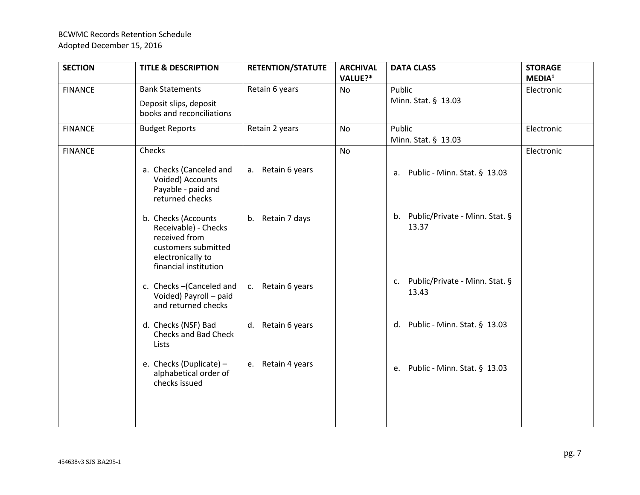| <b>SECTION</b> | <b>TITLE &amp; DESCRIPTION</b>                                                                                                                                                                                                                                                                                                                                                                                                               | <b>RETENTION/STATUTE</b>                                                                                   | <b>ARCHIVAL</b><br>VALUE?* | <b>DATA CLASS</b>                                                                                                                                                                                    | <b>STORAGE</b><br>MEDIA <sup>1</sup> |
|----------------|----------------------------------------------------------------------------------------------------------------------------------------------------------------------------------------------------------------------------------------------------------------------------------------------------------------------------------------------------------------------------------------------------------------------------------------------|------------------------------------------------------------------------------------------------------------|----------------------------|------------------------------------------------------------------------------------------------------------------------------------------------------------------------------------------------------|--------------------------------------|
| <b>FINANCE</b> | <b>Bank Statements</b><br>Deposit slips, deposit<br>books and reconciliations                                                                                                                                                                                                                                                                                                                                                                | Retain 6 years                                                                                             | No                         | Public<br>Minn. Stat. § 13.03                                                                                                                                                                        | Electronic                           |
| <b>FINANCE</b> | <b>Budget Reports</b>                                                                                                                                                                                                                                                                                                                                                                                                                        | Retain 2 years                                                                                             | <b>No</b>                  | Public<br>Minn. Stat. § 13.03                                                                                                                                                                        | Electronic                           |
| <b>FINANCE</b> | Checks<br>a. Checks (Canceled and<br>Voided) Accounts<br>Payable - paid and<br>returned checks<br>b. Checks (Accounts<br>Receivable) - Checks<br>received from<br>customers submitted<br>electronically to<br>financial institution<br>c. Checks-(Canceled and<br>Voided) Payroll - paid<br>and returned checks<br>d. Checks (NSF) Bad<br>Checks and Bad Check<br>Lists<br>e. Checks (Duplicate) -<br>alphabetical order of<br>checks issued | a. Retain 6 years<br>Retain 7 days<br>b.<br>Retain 6 years<br>c.<br>d. Retain 6 years<br>e. Retain 4 years | No                         | Public - Minn. Stat. § 13.03<br>a.<br>b. Public/Private - Minn. Stat. §<br>13.37<br>c. Public/Private - Minn. Stat. §<br>13.43<br>d. Public - Minn. Stat. § 13.03<br>e. Public - Minn. Stat. § 13.03 | Electronic                           |
|                |                                                                                                                                                                                                                                                                                                                                                                                                                                              |                                                                                                            |                            |                                                                                                                                                                                                      |                                      |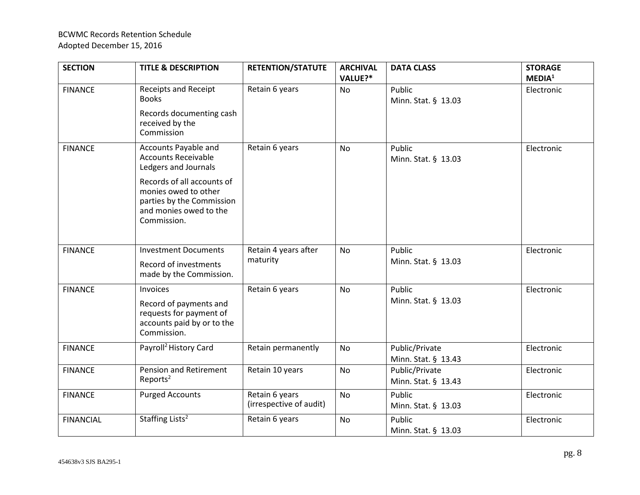| <b>SECTION</b>   | <b>TITLE &amp; DESCRIPTION</b>                                                                                                                                                                         | <b>RETENTION/STATUTE</b>                  | <b>ARCHIVAL</b><br>VALUE?* | <b>DATA CLASS</b>                     | <b>STORAGE</b><br>MEDIA <sup>1</sup> |
|------------------|--------------------------------------------------------------------------------------------------------------------------------------------------------------------------------------------------------|-------------------------------------------|----------------------------|---------------------------------------|--------------------------------------|
| <b>FINANCE</b>   | <b>Receipts and Receipt</b><br><b>Books</b><br>Records documenting cash<br>received by the<br>Commission                                                                                               | Retain 6 years                            | <b>No</b>                  | Public<br>Minn. Stat. § 13.03         | Electronic                           |
| <b>FINANCE</b>   | Accounts Payable and<br><b>Accounts Receivable</b><br>Ledgers and Journals<br>Records of all accounts of<br>monies owed to other<br>parties by the Commission<br>and monies owed to the<br>Commission. | Retain 6 years                            | <b>No</b>                  | Public<br>Minn. Stat. § 13.03         | Electronic                           |
| <b>FINANCE</b>   | <b>Investment Documents</b><br>Record of investments<br>made by the Commission.                                                                                                                        | Retain 4 years after<br>maturity          | <b>No</b>                  | Public<br>Minn. Stat. § 13.03         | Electronic                           |
| <b>FINANCE</b>   | Invoices<br>Record of payments and<br>requests for payment of<br>accounts paid by or to the<br>Commission.                                                                                             | Retain 6 years                            | <b>No</b>                  | Public<br>Minn. Stat. § 13.03         | Electronic                           |
| <b>FINANCE</b>   | Payroll <sup>2</sup> History Card                                                                                                                                                                      | Retain permanently                        | <b>No</b>                  | Public/Private<br>Minn. Stat. § 13.43 | Electronic                           |
| <b>FINANCE</b>   | Pension and Retirement<br>Reports <sup>2</sup>                                                                                                                                                         | Retain 10 years                           | No                         | Public/Private<br>Minn. Stat. § 13.43 | Electronic                           |
| <b>FINANCE</b>   | <b>Purged Accounts</b>                                                                                                                                                                                 | Retain 6 years<br>(irrespective of audit) | <b>No</b>                  | Public<br>Minn. Stat. § 13.03         | Electronic                           |
| <b>FINANCIAL</b> | Staffing Lists <sup>2</sup>                                                                                                                                                                            | Retain 6 years                            | <b>No</b>                  | Public<br>Minn. Stat. § 13.03         | Electronic                           |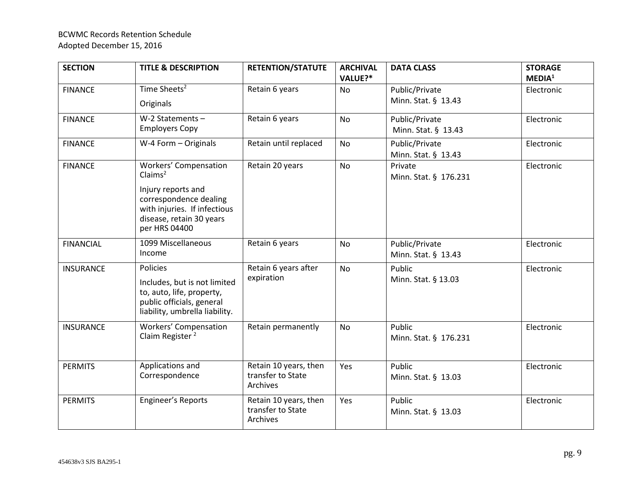| <b>SECTION</b>   | <b>TITLE &amp; DESCRIPTION</b>                                                                                            | <b>RETENTION/STATUTE</b>                               | <b>ARCHIVAL</b><br>VALUE?* | <b>DATA CLASS</b>                     | <b>STORAGE</b><br>MEDIA <sup>1</sup> |
|------------------|---------------------------------------------------------------------------------------------------------------------------|--------------------------------------------------------|----------------------------|---------------------------------------|--------------------------------------|
| <b>FINANCE</b>   | Time Sheets <sup>2</sup>                                                                                                  | Retain 6 years                                         | <b>No</b>                  | Public/Private                        | Electronic                           |
|                  | Originals                                                                                                                 |                                                        |                            | Minn. Stat. § 13.43                   |                                      |
| <b>FINANCE</b>   | $W-2$ Statements -                                                                                                        | Retain 6 years                                         | <b>No</b>                  | Public/Private                        | Electronic                           |
|                  | <b>Employers Copy</b>                                                                                                     |                                                        |                            | Minn. Stat. § 13.43                   |                                      |
| <b>FINANCE</b>   | W-4 Form - Originals                                                                                                      | Retain until replaced                                  | <b>No</b>                  | Public/Private<br>Minn. Stat. § 13.43 | Electronic                           |
| <b>FINANCE</b>   | <b>Workers' Compensation</b><br>Claims <sup>2</sup>                                                                       | Retain 20 years                                        | <b>No</b>                  | Private<br>Minn. Stat. § 176.231      | Electronic                           |
|                  | Injury reports and<br>correspondence dealing<br>with injuries. If infectious<br>disease, retain 30 years<br>per HRS 04400 |                                                        |                            |                                       |                                      |
| <b>FINANCIAL</b> | 1099 Miscellaneous<br>Income                                                                                              | Retain 6 years                                         | <b>No</b>                  | Public/Private<br>Minn. Stat. § 13.43 | Electronic                           |
| <b>INSURANCE</b> | <b>Policies</b>                                                                                                           | Retain 6 years after                                   | <b>No</b>                  | Public                                | Electronic                           |
|                  | Includes, but is not limited<br>to, auto, life, property,<br>public officials, general<br>liability, umbrella liability.  | expiration                                             |                            | Minn. Stat. § 13.03                   |                                      |
| <b>INSURANCE</b> | <b>Workers' Compensation</b><br>Claim Register <sup>2</sup>                                                               | Retain permanently                                     | <b>No</b>                  | Public<br>Minn. Stat. § 176.231       | Electronic                           |
| <b>PERMITS</b>   | Applications and<br>Correspondence                                                                                        | Retain 10 years, then<br>transfer to State<br>Archives | Yes                        | Public<br>Minn. Stat. § 13.03         | Electronic                           |
| <b>PERMITS</b>   | Engineer's Reports                                                                                                        | Retain 10 years, then<br>transfer to State<br>Archives | Yes                        | Public<br>Minn. Stat. § 13.03         | Electronic                           |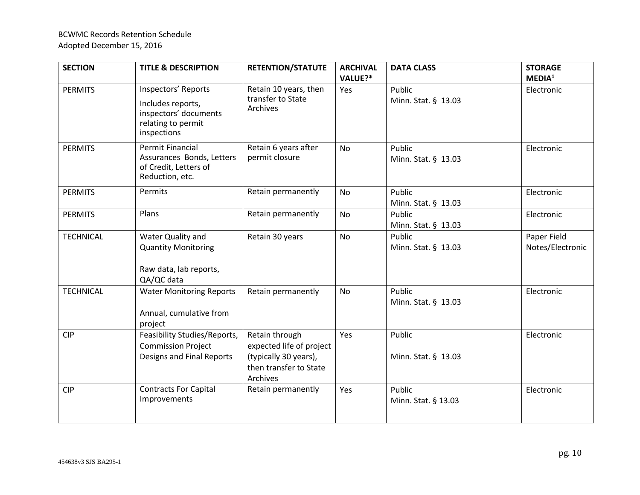| <b>SECTION</b>   | <b>TITLE &amp; DESCRIPTION</b>                                                                         | <b>RETENTION/STATUTE</b>                                                                                  | <b>ARCHIVAL</b><br>VALUE?* | <b>DATA CLASS</b>             | <b>STORAGE</b><br>MEDIA <sup>1</sup> |
|------------------|--------------------------------------------------------------------------------------------------------|-----------------------------------------------------------------------------------------------------------|----------------------------|-------------------------------|--------------------------------------|
| <b>PERMITS</b>   | Inspectors' Reports<br>Includes reports,<br>inspectors' documents<br>relating to permit<br>inspections | Retain 10 years, then<br>transfer to State<br>Archives                                                    | Yes                        | Public<br>Minn. Stat. § 13.03 | Electronic                           |
| <b>PERMITS</b>   | <b>Permit Financial</b><br>Assurances Bonds, Letters<br>of Credit, Letters of<br>Reduction, etc.       | Retain 6 years after<br>permit closure                                                                    | <b>No</b>                  | Public<br>Minn. Stat. § 13.03 | Electronic                           |
| <b>PERMITS</b>   | Permits                                                                                                | Retain permanently                                                                                        | <b>No</b>                  | Public<br>Minn. Stat. § 13.03 | Electronic                           |
| <b>PERMITS</b>   | Plans                                                                                                  | Retain permanently                                                                                        | <b>No</b>                  | Public<br>Minn. Stat. § 13.03 | Electronic                           |
| <b>TECHNICAL</b> | Water Quality and<br><b>Quantity Monitoring</b><br>Raw data, lab reports,<br>QA/QC data                | Retain 30 years                                                                                           | <b>No</b>                  | Public<br>Minn. Stat. § 13.03 | Paper Field<br>Notes/Electronic      |
| <b>TECHNICAL</b> | <b>Water Monitoring Reports</b><br>Annual, cumulative from<br>project                                  | Retain permanently                                                                                        | <b>No</b>                  | Public<br>Minn. Stat. § 13.03 | Electronic                           |
| <b>CIP</b>       | Feasibility Studies/Reports,<br><b>Commission Project</b><br>Designs and Final Reports                 | Retain through<br>expected life of project<br>(typically 30 years),<br>then transfer to State<br>Archives | Yes                        | Public<br>Minn. Stat. § 13.03 | Electronic                           |
| <b>CIP</b>       | <b>Contracts For Capital</b><br>Improvements                                                           | Retain permanently                                                                                        | Yes                        | Public<br>Minn. Stat. § 13.03 | Electronic                           |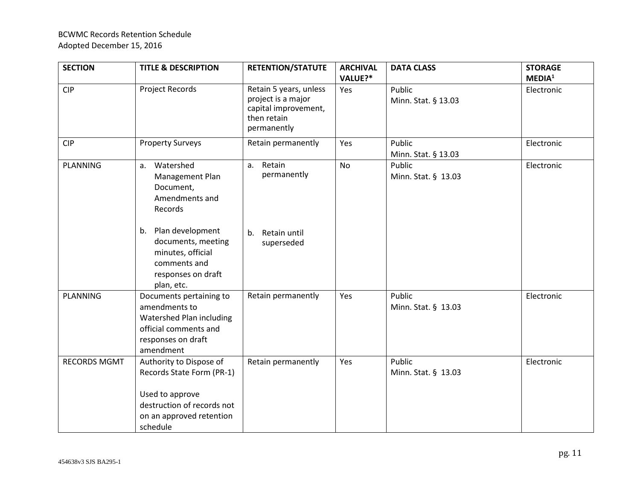| <b>SECTION</b>      | <b>TITLE &amp; DESCRIPTION</b>                                                                                                                | <b>RETENTION/STATUTE</b>                                                                           | <b>ARCHIVAL</b><br>VALUE?* | <b>DATA CLASS</b>             | <b>STORAGE</b><br>MEDIA <sup>1</sup> |
|---------------------|-----------------------------------------------------------------------------------------------------------------------------------------------|----------------------------------------------------------------------------------------------------|----------------------------|-------------------------------|--------------------------------------|
| <b>CIP</b>          | Project Records                                                                                                                               | Retain 5 years, unless<br>project is a major<br>capital improvement,<br>then retain<br>permanently | Yes                        | Public<br>Minn. Stat. § 13.03 | Electronic                           |
| <b>CIP</b>          | <b>Property Surveys</b>                                                                                                                       | Retain permanently                                                                                 | Yes                        | Public<br>Minn. Stat. § 13.03 | Electronic                           |
| PLANNING            | a. Watershed<br>Management Plan<br>Document,<br>Amendments and<br>Records                                                                     | a. Retain<br>permanently                                                                           | <b>No</b>                  | Public<br>Minn. Stat. § 13.03 | Electronic                           |
|                     | b. Plan development<br>documents, meeting<br>minutes, official<br>comments and<br>responses on draft<br>plan, etc.                            | b. Retain until<br>superseded                                                                      |                            |                               |                                      |
| PLANNING            | Documents pertaining to<br>amendments to<br>Watershed Plan including<br>official comments and<br>responses on draft<br>amendment              | Retain permanently                                                                                 | Yes                        | Public<br>Minn. Stat. § 13.03 | Electronic                           |
| <b>RECORDS MGMT</b> | Authority to Dispose of<br>Records State Form (PR-1)<br>Used to approve<br>destruction of records not<br>on an approved retention<br>schedule | Retain permanently                                                                                 | Yes                        | Public<br>Minn. Stat. § 13.03 | Electronic                           |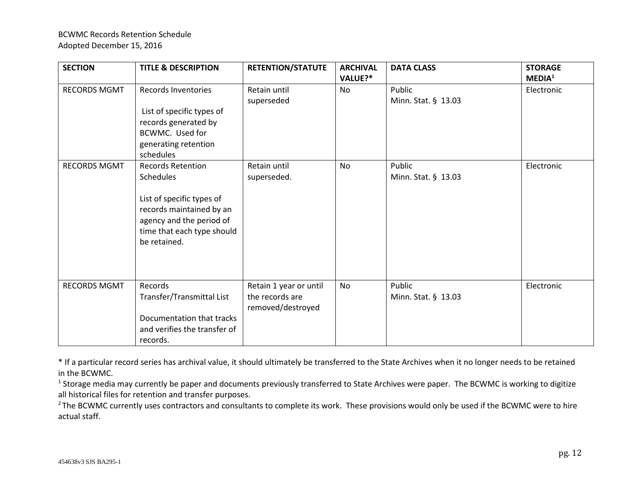| <b>SECTION</b>      | <b>TITLE &amp; DESCRIPTION</b>                                                                                                                                           | <b>RETENTION/STATUTE</b>                                       | <b>ARCHIVAL</b><br>VALUE?* | <b>DATA CLASS</b>             | <b>STORAGE</b><br>MEDIA <sup>1</sup> |
|---------------------|--------------------------------------------------------------------------------------------------------------------------------------------------------------------------|----------------------------------------------------------------|----------------------------|-------------------------------|--------------------------------------|
| <b>RECORDS MGMT</b> | Records Inventories<br>List of specific types of<br>records generated by<br>BCWMC. Used for<br>generating retention<br>schedules                                         | Retain until<br>superseded                                     | No                         | Public<br>Minn. Stat. § 13.03 | Electronic                           |
| <b>RECORDS MGMT</b> | <b>Records Retention</b><br>Schedules<br>List of specific types of<br>records maintained by an<br>agency and the period of<br>time that each type should<br>be retained. | Retain until<br>superseded.                                    | <b>No</b>                  | Public<br>Minn. Stat. § 13.03 | Electronic                           |
| <b>RECORDS MGMT</b> | Records<br>Transfer/Transmittal List<br>Documentation that tracks<br>and verifies the transfer of<br>records.                                                            | Retain 1 year or until<br>the records are<br>removed/destroyed | <b>No</b>                  | Public<br>Minn. Stat. § 13.03 | Electronic                           |

\* If a particular record series has archival value, it should ultimately be transferred to the State Archives when it no longer needs to be retained in the BCWMC.

<sup>1</sup> Storage media may currently be paper and documents previously transferred to State Archives were paper. The BCWMC is working to digitize all historical files for retention and transfer purposes.

<sup>2</sup> The BCWMC currently uses contractors and consultants to complete its work. These provisions would only be used if the BCWMC were to hire actual staff.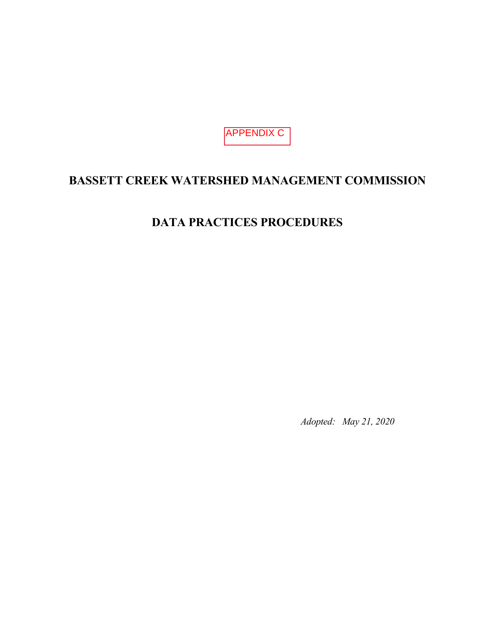APPENDIX C

# **BASSETT CREEK WATERSHED MANAGEMENT COMMISSION**

**DATA PRACTICES PROCEDURES**

 *Adopted: May 21, 2020*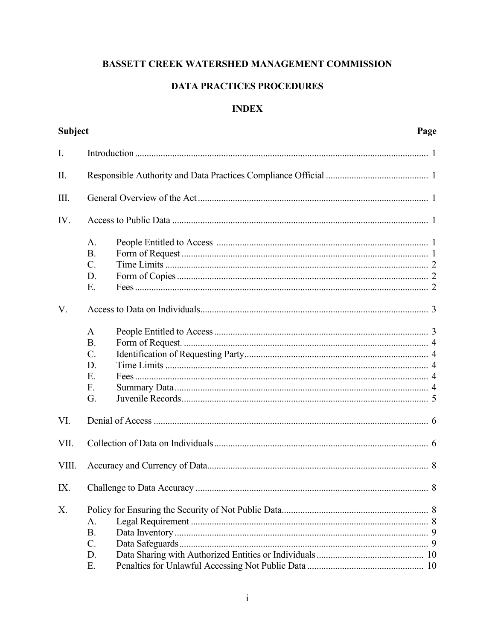# BASSETT CREEK WATERSHED MANAGEMENT COMMISSION

# **DATA PRACTICES PROCEDURES**

# **INDEX**

| <b>Subject</b> | Page                                                  |
|----------------|-------------------------------------------------------|
| $\mathbf{I}$ . |                                                       |
| Π.             |                                                       |
| Ш.             |                                                       |
| IV.            |                                                       |
|                | A.<br><b>B.</b><br>$C_{\cdot}$<br>D.<br>Ε.            |
| V.             |                                                       |
|                | A<br><b>B.</b><br>$C_{\cdot}$<br>D.<br>E.<br>F.<br>G. |
| VI.            |                                                       |
| VII.           |                                                       |
| VIII.          |                                                       |
| IX.            |                                                       |
| X.             | A.<br><b>B.</b><br>C.<br>D.<br>Ε.                     |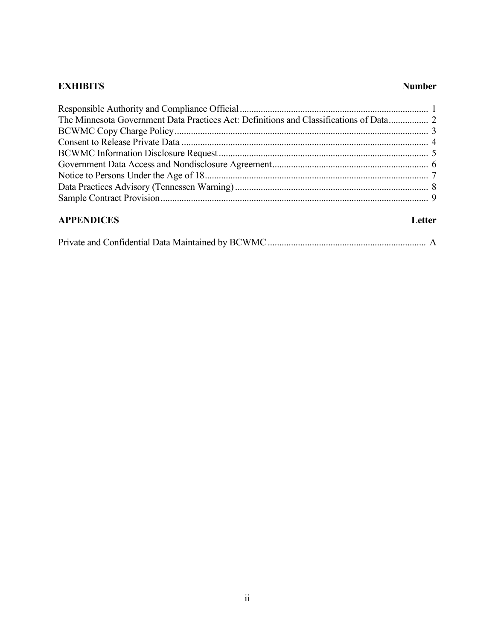# **EXHIBITS Number**

| The Minnesota Government Data Practices Act: Definitions and Classifications of Data 2 |  |
|----------------------------------------------------------------------------------------|--|
|                                                                                        |  |
|                                                                                        |  |
|                                                                                        |  |
|                                                                                        |  |
|                                                                                        |  |
|                                                                                        |  |
|                                                                                        |  |
| <b>APPENDICES</b><br>Letter                                                            |  |

|--|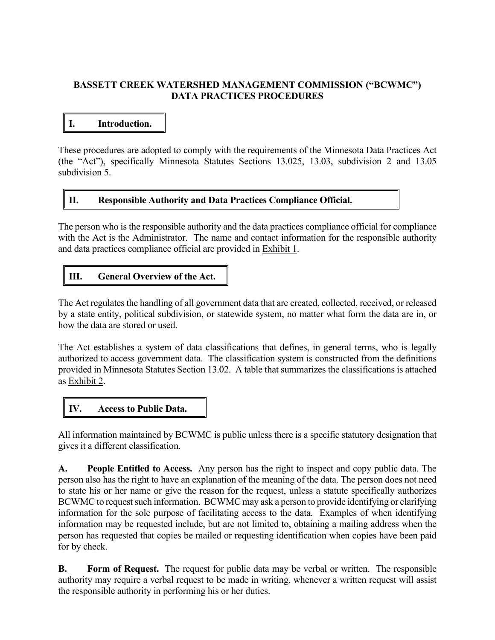## **BASSETT CREEK WATERSHED MANAGEMENT COMMISSION ("BCWMC") DATA PRACTICES PROCEDURES**

# **I. Introduction.**

These procedures are adopted to comply with the requirements of the Minnesota Data Practices Act (the "Act"), specifically Minnesota Statutes Sections 13.025, 13.03, subdivision 2 and 13.05 subdivision 5.

#### **II. Responsible Authority and Data Practices Compliance Official.**

The person who is the responsible authority and the data practices compliance official for compliance with the Act is the Administrator. The name and contact information for the responsible authority and data practices compliance official are provided in Exhibit 1.

#### **III. General Overview of the Act.**

The Act regulates the handling of all government data that are created, collected, received, or released by a state entity, political subdivision, or statewide system, no matter what form the data are in, or how the data are stored or used.

The Act establishes a system of data classifications that defines, in general terms, who is legally authorized to access government data. The classification system is constructed from the definitions provided in Minnesota Statutes Section 13.02. A table that summarizes the classifications is attached as Exhibit 2.

# **IV. Access to Public Data.**

All information maintained by BCWMC is public unless there is a specific statutory designation that gives it a different classification.

**A. People Entitled to Access.** Any person has the right to inspect and copy public data. The person also has the right to have an explanation of the meaning of the data. The person does not need to state his or her name or give the reason for the request, unless a statute specifically authorizes BCWMC to request such information. BCWMC may ask a person to provide identifying or clarifying information for the sole purpose of facilitating access to the data. Examples of when identifying information may be requested include, but are not limited to, obtaining a mailing address when the person has requested that copies be mailed or requesting identification when copies have been paid for by check.

**B. Form of Request.** The request for public data may be verbal or written. The responsible authority may require a verbal request to be made in writing, whenever a written request will assist the responsible authority in performing his or her duties.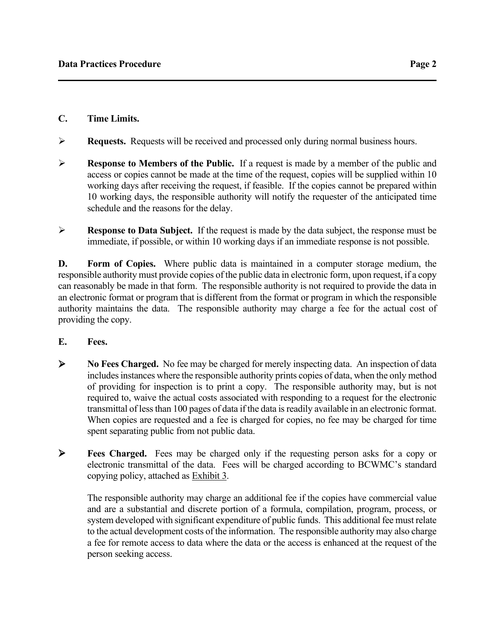#### **C. Time Limits.**

- **Requests.** Requests will be received and processed only during normal business hours.
- **Response to Members of the Public.** If a request is made by a member of the public and access or copies cannot be made at the time of the request, copies will be supplied within 10 working days after receiving the request, if feasible. If the copies cannot be prepared within 10 working days, the responsible authority will notify the requester of the anticipated time schedule and the reasons for the delay.
- **Response to Data Subject.** If the request is made by the data subject, the response must be immediate, if possible, or within 10 working days if an immediate response is not possible.

**D. Form of Copies.** Where public data is maintained in a computer storage medium, the responsible authority must provide copies of the public data in electronic form, upon request, if a copy can reasonably be made in that form. The responsible authority is not required to provide the data in an electronic format or program that is different from the format or program in which the responsible authority maintains the data. The responsible authority may charge a fee for the actual cost of providing the copy.

- **E. Fees.**
- **No Fees Charged.** No fee may be charged for merely inspecting data. An inspection of data includes instances where the responsible authority prints copies of data, when the only method of providing for inspection is to print a copy. The responsible authority may, but is not required to, waive the actual costs associated with responding to a request for the electronic transmittal of less than 100 pages of data if the data is readily available in an electronic format. When copies are requested and a fee is charged for copies, no fee may be charged for time spent separating public from not public data.
- **Fees Charged.** Fees may be charged only if the requesting person asks for a copy or electronic transmittal of the data. Fees will be charged according to BCWMC's standard copying policy, attached as Exhibit 3.

The responsible authority may charge an additional fee if the copies have commercial value and are a substantial and discrete portion of a formula, compilation, program, process, or system developed with significant expenditure of public funds. This additional fee must relate to the actual development costs of the information. The responsible authority may also charge a fee for remote access to data where the data or the access is enhanced at the request of the person seeking access.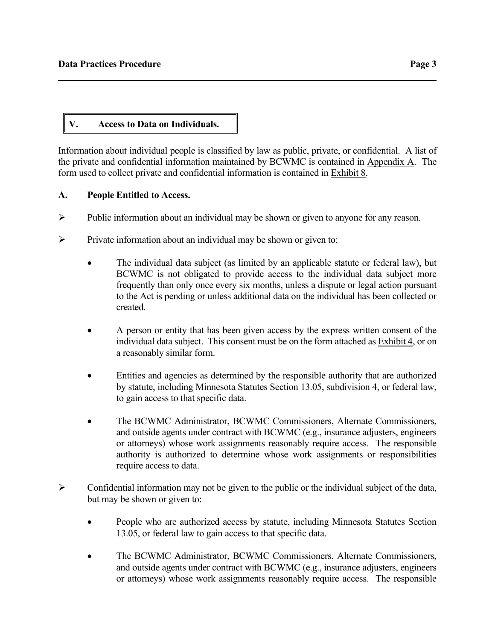#### **V. Access to Data on Individuals.**

Information about individual people is classified by law as public, private, or confidential. A list of the private and confidential information maintained by BCWMC is contained in Appendix A. The form used to collect private and confidential information is contained in Exhibit 8.

#### **A. People Entitled to Access.**

- $\triangleright$  Public information about an individual may be shown or given to anyone for any reason.
- $\triangleright$  Private information about an individual may be shown or given to:
	- The individual data subject (as limited by an applicable statute or federal law), but BCWMC is not obligated to provide access to the individual data subject more frequently than only once every six months, unless a dispute or legal action pursuant to the Act is pending or unless additional data on the individual has been collected or created.
	- A person or entity that has been given access by the express written consent of the individual data subject. This consent must be on the form attached as Exhibit 4, or on a reasonably similar form.
	- Entities and agencies as determined by the responsible authority that are authorized by statute, including Minnesota Statutes Section 13.05, subdivision 4, or federal law, to gain access to that specific data.
	- The BCWMC Administrator, BCWMC Commissioners, Alternate Commissioners, and outside agents under contract with BCWMC (e.g., insurance adjusters, engineers or attorneys) whose work assignments reasonably require access. The responsible authority is authorized to determine whose work assignments or responsibilities require access to data.
- $\triangleright$  Confidential information may not be given to the public or the individual subject of the data, but may be shown or given to:
	- People who are authorized access by statute, including Minnesota Statutes Section 13.05, or federal law to gain access to that specific data.
	- The BCWMC Administrator, BCWMC Commissioners, Alternate Commissioners, and outside agents under contract with BCWMC (e.g., insurance adjusters, engineers or attorneys) whose work assignments reasonably require access. The responsible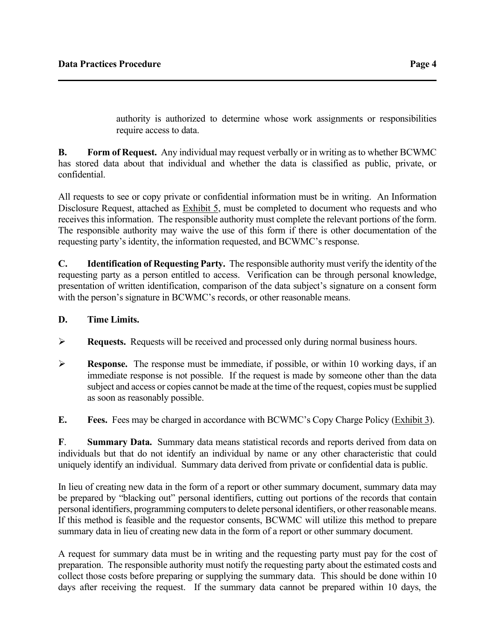authority is authorized to determine whose work assignments or responsibilities require access to data.

**B. Form of Request.** Any individual may request verbally or in writing as to whether BCWMC has stored data about that individual and whether the data is classified as public, private, or confidential.

All requests to see or copy private or confidential information must be in writing. An Information Disclosure Request, attached as Exhibit 5, must be completed to document who requests and who receives this information. The responsible authority must complete the relevant portions of the form. The responsible authority may waive the use of this form if there is other documentation of the requesting party's identity, the information requested, and BCWMC's response.

**C. Identification of Requesting Party.** The responsible authority must verify the identity of the requesting party as a person entitled to access. Verification can be through personal knowledge, presentation of written identification, comparison of the data subject's signature on a consent form with the person's signature in BCWMC's records, or other reasonable means.

#### **D. Time Limits.**

- **Requests.** Requests will be received and processed only during normal business hours.
- **Response.** The response must be immediate, if possible, or within 10 working days, if an immediate response is not possible. If the request is made by someone other than the data subject and access or copies cannot be made at the time of the request, copies must be supplied as soon as reasonably possible.

**E. Fees.** Fees may be charged in accordance with BCWMC's Copy Charge Policy (Exhibit 3).

**F**. **Summary Data.** Summary data means statistical records and reports derived from data on individuals but that do not identify an individual by name or any other characteristic that could uniquely identify an individual. Summary data derived from private or confidential data is public.

In lieu of creating new data in the form of a report or other summary document, summary data may be prepared by "blacking out" personal identifiers, cutting out portions of the records that contain personal identifiers, programming computers to delete personal identifiers, or other reasonable means. If this method is feasible and the requestor consents, BCWMC will utilize this method to prepare summary data in lieu of creating new data in the form of a report or other summary document.

A request for summary data must be in writing and the requesting party must pay for the cost of preparation. The responsible authority must notify the requesting party about the estimated costs and collect those costs before preparing or supplying the summary data. This should be done within 10 days after receiving the request. If the summary data cannot be prepared within 10 days, the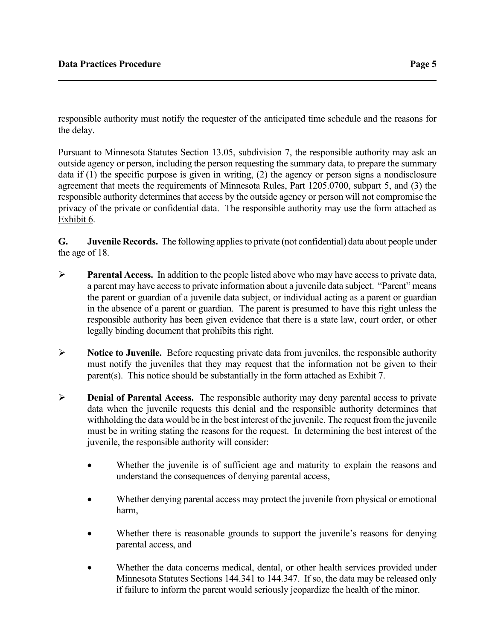responsible authority must notify the requester of the anticipated time schedule and the reasons for the delay.

Pursuant to Minnesota Statutes Section 13.05, subdivision 7, the responsible authority may ask an outside agency or person, including the person requesting the summary data, to prepare the summary data if (1) the specific purpose is given in writing, (2) the agency or person signs a nondisclosure agreement that meets the requirements of Minnesota Rules, Part 1205.0700, subpart 5, and (3) the responsible authority determines that access by the outside agency or person will not compromise the privacy of the private or confidential data. The responsible authority may use the form attached as Exhibit 6.

**G. Juvenile Records.** The following applies to private (not confidential) data about people under the age of 18.

- **Parental Access.** In addition to the people listed above who may have access to private data, a parent may have access to private information about a juvenile data subject. "Parent" means the parent or guardian of a juvenile data subject, or individual acting as a parent or guardian in the absence of a parent or guardian. The parent is presumed to have this right unless the responsible authority has been given evidence that there is a state law, court order, or other legally binding document that prohibits this right.
- **Notice to Juvenile.** Before requesting private data from juveniles, the responsible authority must notify the juveniles that they may request that the information not be given to their parent(s). This notice should be substantially in the form attached as Exhibit 7.
- **Denial of Parental Access.** The responsible authority may deny parental access to private data when the juvenile requests this denial and the responsible authority determines that withholding the data would be in the best interest of the juvenile. The request from the juvenile must be in writing stating the reasons for the request. In determining the best interest of the juvenile, the responsible authority will consider:
	- Whether the juvenile is of sufficient age and maturity to explain the reasons and understand the consequences of denying parental access,
	- Whether denying parental access may protect the juvenile from physical or emotional harm,
	- Whether there is reasonable grounds to support the juvenile's reasons for denying parental access, and
	- Whether the data concerns medical, dental, or other health services provided under Minnesota Statutes Sections 144.341 to 144.347. If so, the data may be released only if failure to inform the parent would seriously jeopardize the health of the minor.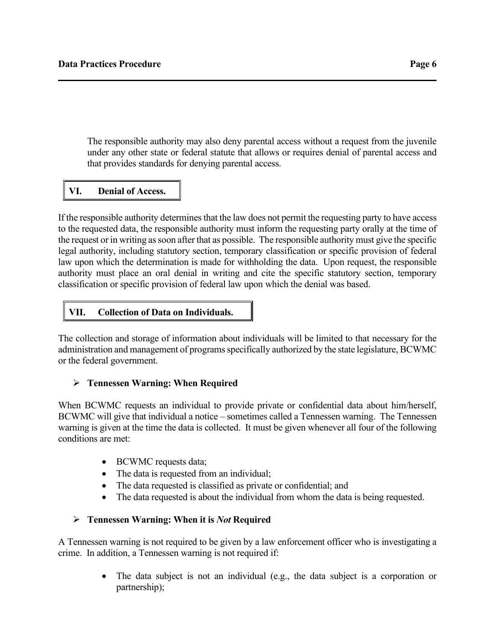The responsible authority may also deny parental access without a request from the juvenile under any other state or federal statute that allows or requires denial of parental access and that provides standards for denying parental access.

### **VI. Denial of Access.**

If the responsible authority determines that the law does not permit the requesting party to have access to the requested data, the responsible authority must inform the requesting party orally at the time of the request or in writing as soon after that as possible. The responsible authority must give the specific legal authority, including statutory section, temporary classification or specific provision of federal law upon which the determination is made for withholding the data. Upon request, the responsible authority must place an oral denial in writing and cite the specific statutory section, temporary classification or specific provision of federal law upon which the denial was based.

### **VII. Collection of Data on Individuals.**

The collection and storage of information about individuals will be limited to that necessary for the administration and management of programs specifically authorized by the state legislature, BCWMC or the federal government.

#### **Tennessen Warning: When Required**

When BCWMC requests an individual to provide private or confidential data about him/herself, BCWMC will give that individual a notice – sometimes called a Tennessen warning. The Tennessen warning is given at the time the data is collected. It must be given whenever all four of the following conditions are met:

- BCWMC requests data;
- The data is requested from an individual;
- The data requested is classified as private or confidential; and
- The data requested is about the individual from whom the data is being requested.

# **Tennessen Warning: When it is** *Not* **Required**

A Tennessen warning is not required to be given by a law enforcement officer who is investigating a crime. In addition, a Tennessen warning is not required if:

> • The data subject is not an individual (e.g., the data subject is a corporation or partnership);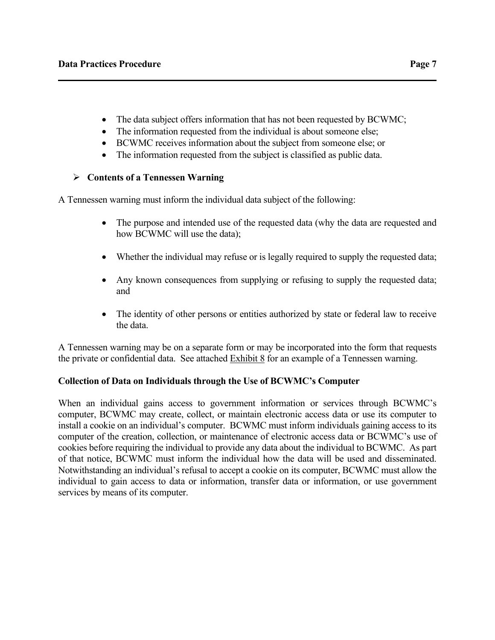- The data subject offers information that has not been requested by BCWMC;
- The information requested from the individual is about someone else;
- BCWMC receives information about the subject from someone else; or
- The information requested from the subject is classified as public data.

#### **Contents of a Tennessen Warning**

A Tennessen warning must inform the individual data subject of the following:

- The purpose and intended use of the requested data (why the data are requested and how BCWMC will use the data);
- Whether the individual may refuse or is legally required to supply the requested data;
- Any known consequences from supplying or refusing to supply the requested data; and
- The identity of other persons or entities authorized by state or federal law to receive the data.

A Tennessen warning may be on a separate form or may be incorporated into the form that requests the private or confidential data. See attached Exhibit 8 for an example of a Tennessen warning.

#### **Collection of Data on Individuals through the Use of BCWMC's Computer**

When an individual gains access to government information or services through BCWMC's computer, BCWMC may create, collect, or maintain electronic access data or use its computer to install a cookie on an individual's computer. BCWMC must inform individuals gaining access to its computer of the creation, collection, or maintenance of electronic access data or BCWMC's use of cookies before requiring the individual to provide any data about the individual to BCWMC. As part of that notice, BCWMC must inform the individual how the data will be used and disseminated. Notwithstanding an individual's refusal to accept a cookie on its computer, BCWMC must allow the individual to gain access to data or information, transfer data or information, or use government services by means of its computer.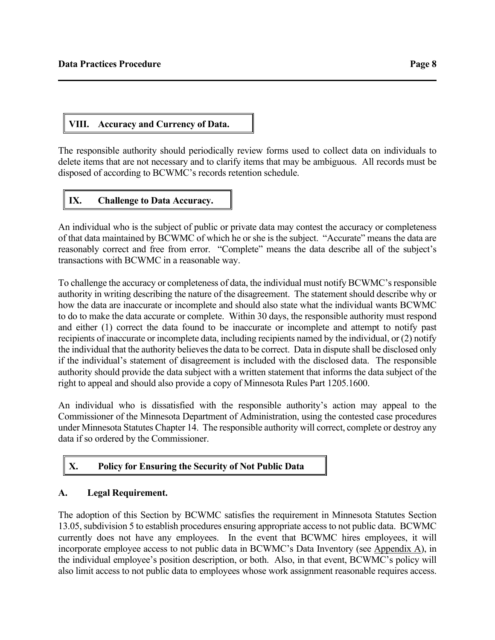#### **VIII. Accuracy and Currency of Data.**

The responsible authority should periodically review forms used to collect data on individuals to delete items that are not necessary and to clarify items that may be ambiguous. All records must be disposed of according to BCWMC's records retention schedule.

### **IX. Challenge to Data Accuracy.**

An individual who is the subject of public or private data may contest the accuracy or completeness of that data maintained by BCWMC of which he or she is the subject. "Accurate" means the data are reasonably correct and free from error. "Complete" means the data describe all of the subject's transactions with BCWMC in a reasonable way.

To challenge the accuracy or completeness of data, the individual must notify BCWMC's responsible authority in writing describing the nature of the disagreement. The statement should describe why or how the data are inaccurate or incomplete and should also state what the individual wants BCWMC to do to make the data accurate or complete. Within 30 days, the responsible authority must respond and either (1) correct the data found to be inaccurate or incomplete and attempt to notify past recipients of inaccurate or incomplete data, including recipients named by the individual, or (2) notify the individual that the authority believes the data to be correct. Data in dispute shall be disclosed only if the individual's statement of disagreement is included with the disclosed data. The responsible authority should provide the data subject with a written statement that informs the data subject of the right to appeal and should also provide a copy of Minnesota Rules Part 1205.1600.

An individual who is dissatisfied with the responsible authority's action may appeal to the Commissioner of the Minnesota Department of Administration, using the contested case procedures under Minnesota Statutes Chapter 14. The responsible authority will correct, complete or destroy any data if so ordered by the Commissioner.

# **X. Policy for Ensuring the Security of Not Public Data**

#### **A. Legal Requirement.**

The adoption of this Section by BCWMC satisfies the requirement in Minnesota Statutes Section 13.05, subdivision 5 to establish procedures ensuring appropriate access to not public data. BCWMC currently does not have any employees. In the event that BCWMC hires employees, it will incorporate employee access to not public data in BCWMC's Data Inventory (see Appendix A), in the individual employee's position description, or both. Also, in that event, BCWMC's policy will also limit access to not public data to employees whose work assignment reasonable requires access.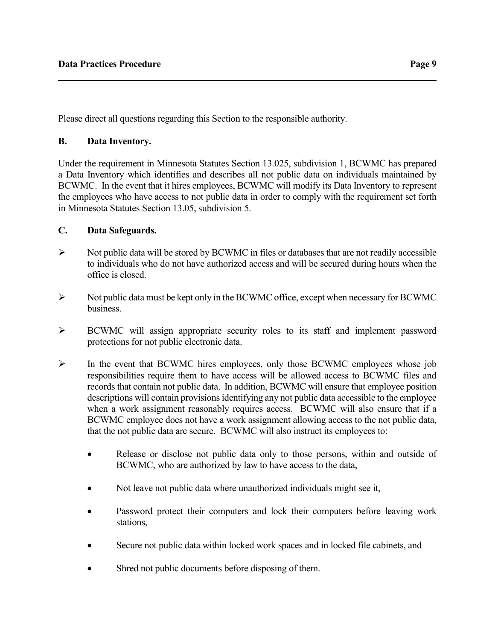Please direct all questions regarding this Section to the responsible authority.

#### **B. Data Inventory.**

Under the requirement in Minnesota Statutes Section 13.025, subdivision 1, BCWMC has prepared a Data Inventory which identifies and describes all not public data on individuals maintained by BCWMC. In the event that it hires employees, BCWMC will modify its Data Inventory to represent the employees who have access to not public data in order to comply with the requirement set forth in Minnesota Statutes Section 13.05, subdivision 5.

#### **C. Data Safeguards.**

- $\triangleright$  Not public data will be stored by BCWMC in files or databases that are not readily accessible to individuals who do not have authorized access and will be secured during hours when the office is closed.
- $\triangleright$  Not public data must be kept only in the BCWMC office, except when necessary for BCWMC business.
- $\triangleright$  BCWMC will assign appropriate security roles to its staff and implement password protections for not public electronic data.
- $\triangleright$  In the event that BCWMC hires employees, only those BCWMC employees whose job responsibilities require them to have access will be allowed access to BCWMC files and records that contain not public data. In addition, BCWMC will ensure that employee position descriptions will contain provisions identifying any not public data accessible to the employee when a work assignment reasonably requires access. BCWMC will also ensure that if a BCWMC employee does not have a work assignment allowing access to the not public data, that the not public data are secure. BCWMC will also instruct its employees to:
	- Release or disclose not public data only to those persons, within and outside of BCWMC, who are authorized by law to have access to the data,
	- Not leave not public data where unauthorized individuals might see it,
	- Password protect their computers and lock their computers before leaving work stations,
	- Secure not public data within locked work spaces and in locked file cabinets, and
	- Shred not public documents before disposing of them.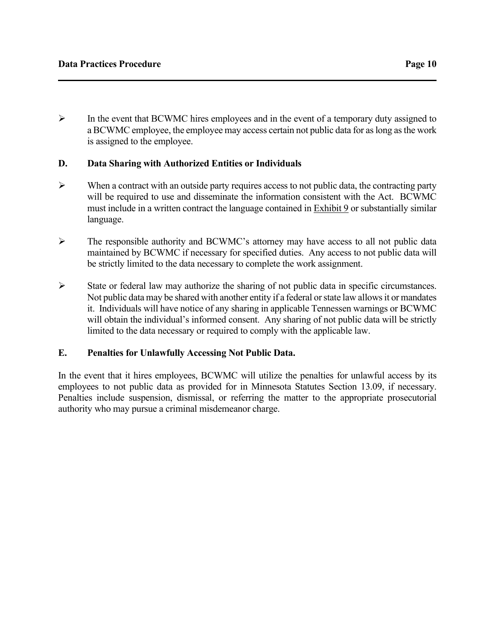$\triangleright$  In the event that BCWMC hires employees and in the event of a temporary duty assigned to a BCWMC employee, the employee may access certain not public data for as long as the work is assigned to the employee.

#### **D. Data Sharing with Authorized Entities or Individuals**

- $\triangleright$  When a contract with an outside party requires access to not public data, the contracting party will be required to use and disseminate the information consistent with the Act. BCWMC must include in a written contract the language contained in Exhibit 9 or substantially similar language.
- $\triangleright$  The responsible authority and BCWMC's attorney may have access to all not public data maintained by BCWMC if necessary for specified duties. Any access to not public data will be strictly limited to the data necessary to complete the work assignment.
- $\triangleright$  State or federal law may authorize the sharing of not public data in specific circumstances. Not public data may be shared with another entity if a federal or state law allows it or mandates it. Individuals will have notice of any sharing in applicable Tennessen warnings or BCWMC will obtain the individual's informed consent. Any sharing of not public data will be strictly limited to the data necessary or required to comply with the applicable law.

#### **E. Penalties for Unlawfully Accessing Not Public Data.**

In the event that it hires employees, BCWMC will utilize the penalties for unlawful access by its employees to not public data as provided for in Minnesota Statutes Section 13.09, if necessary. Penalties include suspension, dismissal, or referring the matter to the appropriate prosecutorial authority who may pursue a criminal misdemeanor charge.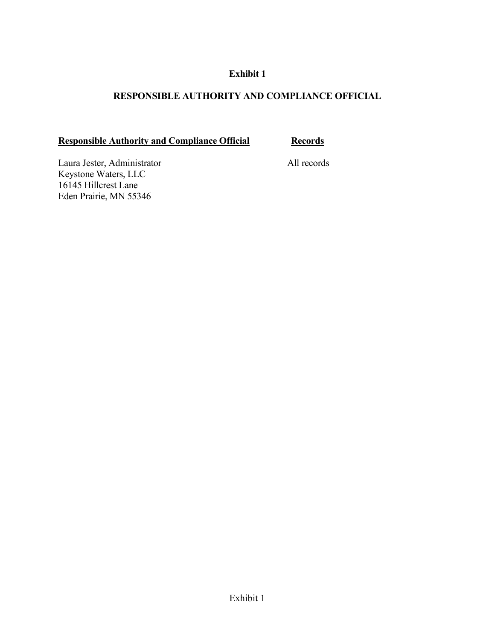# **RESPONSIBLE AUTHORITY AND COMPLIANCE OFFICIAL**

# **Responsible Authority and Compliance Official Records**

Laura Jester, Administrator All records Keystone Waters, LLC 16145 Hillcrest Lane Eden Prairie, MN 55346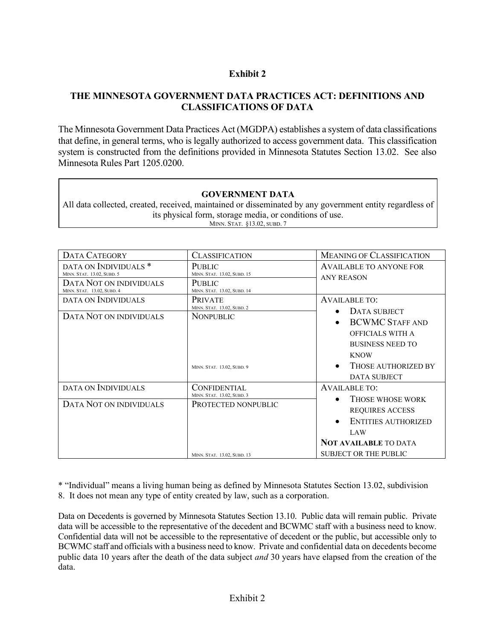### **THE MINNESOTA GOVERNMENT DATA PRACTICES ACT: DEFINITIONS AND CLASSIFICATIONS OF DATA**

The Minnesota Government Data Practices Act (MGDPA) establishes a system of data classifications that define, in general terms, who is legally authorized to access government data. This classification system is constructed from the definitions provided in Minnesota Statutes Section 13.02. See also Minnesota Rules Part 1205.0200.

#### **GOVERNMENT DATA**

All data collected, created, received, maintained or disseminated by any government entity regardless of its physical form, storage media, or conditions of use. MINN. STAT. §13.02, SUBD. 7

| DATA CATEGORY                                                  | <b>CLASSIFICATION</b>                        | <b>MEANING OF CLASSIFICATION</b>                                                                     |
|----------------------------------------------------------------|----------------------------------------------|------------------------------------------------------------------------------------------------------|
| DATA ON INDIVIDUALS <sup>*</sup><br>MINN. STAT. 13.02, SUBD. 5 | PUBLIC<br>MINN. STAT. 13.02, SUBD. 15        | AVAILABLE TO ANYONE FOR<br><b>ANY REASON</b>                                                         |
| DATA NOT ON INDIVIDUALS<br>MINN. STAT. 13.02, SUBD. 4          | PUBLIC<br>MINN. STAT. 13.02, SUBD. 14        |                                                                                                      |
| DATA ON INDIVIDUALS                                            | <b>PRIVATE</b><br>MINN. STAT. 13.02, SUBD. 2 | <b>AVAILABLE TO:</b>                                                                                 |
| DATA NOT ON INDIVIDUALS                                        | <b>NONPUBLIC</b>                             | DATA SUBJECT<br><b>BCWMC STAFF AND</b><br>OFFICIALS WITH A<br><b>BUSINESS NEED TO</b><br><b>KNOW</b> |
|                                                                | MINN. STAT. 13.02, SUBD. 9                   | THOSE AUTHORIZED BY<br><b>DATA SUBJECT</b>                                                           |
| DATA ON INDIVIDUALS                                            | CONFIDENTIAL<br>MINN. STAT. 13.02, SUBD. 3   | <b>AVAILABLE TO:</b>                                                                                 |
| DATA NOT ON INDIVIDUALS                                        | PROTECTED NONPUBLIC                          | THOSE WHOSE WORK<br><b>REQUIRES ACCESS</b><br><b>ENTITIES AUTHORIZED</b><br>LAW                      |
|                                                                | MINN. STAT. 13.02, SUBD. 13                  | <b>NOT AVAILABLE TO DATA</b><br><b>SUBJECT OR THE PUBLIC</b>                                         |

\* "Individual" means a living human being as defined by Minnesota Statutes Section 13.02, subdivision 8. It does not mean any type of entity created by law, such as a corporation.

Data on Decedents is governed by Minnesota Statutes Section 13.10. Public data will remain public. Private data will be accessible to the representative of the decedent and BCWMC staff with a business need to know. Confidential data will not be accessible to the representative of decedent or the public, but accessible only to BCWMC staff and officials with a business need to know. Private and confidential data on decedents become public data 10 years after the death of the data subject *and* 30 years have elapsed from the creation of the data.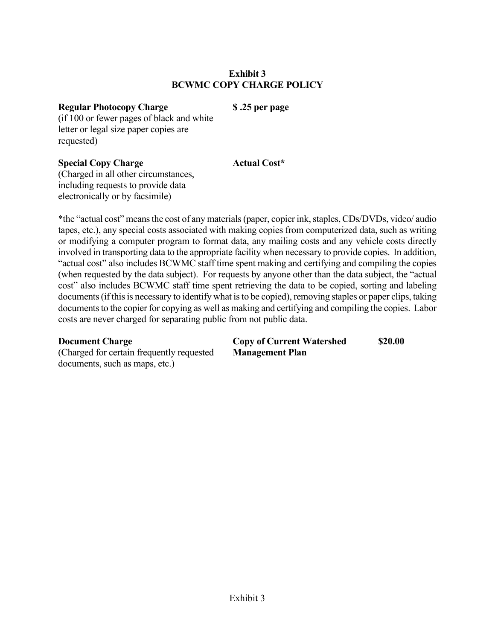#### **Exhibit 3 BCWMC COPY CHARGE POLICY**

#### **Regular Photocopy Charge \$ .25 per page**

(if 100 or fewer pages of black and white letter or legal size paper copies are requested)

#### **Special Copy Charge <b>Actual Cost** \*

(Charged in all other circumstances, including requests to provide data electronically or by facsimile)

\*the "actual cost" means the cost of any materials (paper, copier ink, staples, CDs/DVDs, video/ audio tapes, etc.), any special costs associated with making copies from computerized data, such as writing or modifying a computer program to format data, any mailing costs and any vehicle costs directly involved in transporting data to the appropriate facility when necessary to provide copies. In addition, "actual cost" also includes BCWMC staff time spent making and certifying and compiling the copies (when requested by the data subject). For requests by anyone other than the data subject, the "actual cost" also includes BCWMC staff time spent retrieving the data to be copied, sorting and labeling documents (if this is necessary to identify what is to be copied), removing staples or paper clips, taking documents to the copier for copying as well as making and certifying and compiling the copies. Labor costs are never charged for separating public from not public data.

(Charged for certain frequently requested **Management Plan** documents, such as maps, etc.)

**Document Charge Copy of Current Watershed 520.00**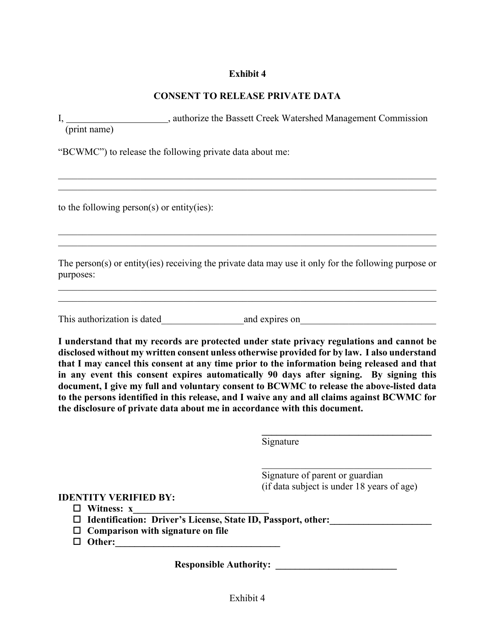#### **CONSENT TO RELEASE PRIVATE DATA**

| I, ________________________, authorize the Bassett Creek Watershed Management Commission<br>(print name)                                                                                                                                                                                                                                                                                                                                                                                                                                                                                                                                                  |  |                |  |
|-----------------------------------------------------------------------------------------------------------------------------------------------------------------------------------------------------------------------------------------------------------------------------------------------------------------------------------------------------------------------------------------------------------------------------------------------------------------------------------------------------------------------------------------------------------------------------------------------------------------------------------------------------------|--|----------------|--|
| "BCWMC") to release the following private data about me:                                                                                                                                                                                                                                                                                                                                                                                                                                                                                                                                                                                                  |  |                |  |
| to the following person(s) or entity(ies):                                                                                                                                                                                                                                                                                                                                                                                                                                                                                                                                                                                                                |  |                |  |
| The person(s) or entity(ies) receiving the private data may use it only for the following purpose or<br>purposes:                                                                                                                                                                                                                                                                                                                                                                                                                                                                                                                                         |  |                |  |
| This authorization is dated                                                                                                                                                                                                                                                                                                                                                                                                                                                                                                                                                                                                                               |  | and expires on |  |
| I understand that my records are protected under state privacy regulations and cannot be<br>disclosed without my written consent unless otherwise provided for by law. I also understand<br>that I may cancel this consent at any time prior to the information being released and that<br>in any event this consent expires automatically 90 days after signing. By signing this<br>document, I give my full and voluntary consent to BCWMC to release the above-listed data<br>to the persons identified in this release, and I waive any and all claims against BCWMC for<br>the disclosure of private data about me in accordance with this document. |  |                |  |

Signature

Signature of parent or guardian (if data subject is under 18 years of age)

**\_\_\_\_\_\_\_\_\_\_\_\_\_\_\_\_\_\_\_\_\_\_\_\_\_\_\_\_\_\_\_\_\_\_\_**

 $\mathcal{L}_\mathcal{L}$  , where  $\mathcal{L}_\mathcal{L}$  , we have the set of the set of the set of the set of the set of the set of the set of the set of the set of the set of the set of the set of the set of the set of the set of the set

#### **IDENTITY VERIFIED BY:**

- $\Box$  Witness:  $\mathbf{x}$
- **Identification: Driver's License, State ID, Passport, other:\_\_\_\_\_\_\_\_\_\_\_\_\_\_\_\_\_\_\_\_\_**
- **Comparison with signature on file**
- $\Box$  Other:

**Responsible Authority: \_\_\_\_\_\_\_\_\_\_\_\_\_\_\_\_\_\_\_\_\_\_\_\_\_**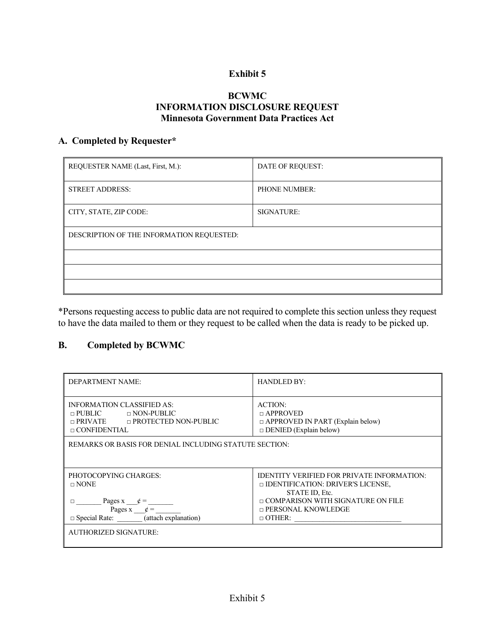#### **BCWMC INFORMATION DISCLOSURE REQUEST Minnesota Government Data Practices Act**

### **A. Completed by Requester\***

| REQUESTER NAME (Last, First, M.):         | DATE OF REQUEST:     |  |
|-------------------------------------------|----------------------|--|
| <b>STREET ADDRESS:</b>                    | <b>PHONE NUMBER:</b> |  |
| CITY, STATE, ZIP CODE:                    | <b>SIGNATURE:</b>    |  |
| DESCRIPTION OF THE INFORMATION REQUESTED: |                      |  |
|                                           |                      |  |
|                                           |                      |  |
|                                           |                      |  |

\*Persons requesting access to public data are not required to complete this section unless they request to have the data mailed to them or they request to be called when the data is ready to be picked up.

#### **B. Completed by BCWMC**

| DEPARTMENT NAME:                                                                                                             | <b>HANDLED BY:</b>                                                                                                                                                                              |  |  |  |
|------------------------------------------------------------------------------------------------------------------------------|-------------------------------------------------------------------------------------------------------------------------------------------------------------------------------------------------|--|--|--|
| <b>INFORMATION CLASSIFIED AS:</b><br>$\Box$ PUBLIC<br>□ NON-PUBLIC<br>□ PRIVATE □ PROTECTED NON-PUBLIC<br>□ CONFIDENTIAL     | ACTION:<br>$\Box$ APPROVED<br>$\Box$ APPROVED IN PART (Explain below)<br>$\Box$ DENIED (Explain below)                                                                                          |  |  |  |
| REMARKS OR BASIS FOR DENIAL INCLUDING STATUTE SECTION:                                                                       |                                                                                                                                                                                                 |  |  |  |
| PHOTOCOPYING CHARGES:<br>$\Box$ NONE<br>Pages x $\phi =$<br>Pages x $\phi =$<br>$\square$ Special Rate: (attach explanation) | <b>IDENTITY VERIFIED FOR PRIVATE INFORMATION:</b><br>□ IDENTIFICATION: DRIVER'S LICENSE,<br>STATE ID, Etc.<br>□ COMPARISON WITH SIGNATURE ON FILE<br>$\Box$ PERSONAL KNOWLEDGE<br>$\Box$ OTHER: |  |  |  |
| <b>AUTHORIZED SIGNATURE:</b>                                                                                                 |                                                                                                                                                                                                 |  |  |  |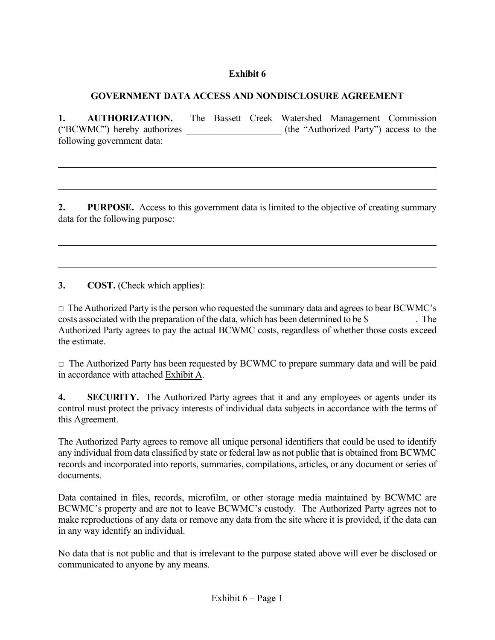# **GOVERNMENT DATA ACCESS AND NONDISCLOSURE AGREEMENT**

**1. AUTHORIZATION.** The Bassett Creek Watershed Management Commission ("BCWMC") hereby authorizes  $($ the "Authorized Party") access to the following government data:

**2. PURPOSE.** Access to this government data is limited to the objective of creating summary data for the following purpose:

**3. COST.** (Check which applies):

 $\Box$  The Authorized Party is the person who requested the summary data and agrees to bear BCWMC's costs associated with the preparation of the data, which has been determined to be \$ . The Authorized Party agrees to pay the actual BCWMC costs, regardless of whether those costs exceed the estimate.

 $\Box$  The Authorized Party has been requested by BCWMC to prepare summary data and will be paid in accordance with attached Exhibit A.

**4. SECURITY.** The Authorized Party agrees that it and any employees or agents under its control must protect the privacy interests of individual data subjects in accordance with the terms of this Agreement.

The Authorized Party agrees to remove all unique personal identifiers that could be used to identify any individual from data classified by state or federal law as not public that is obtained from BCWMC records and incorporated into reports, summaries, compilations, articles, or any document or series of documents.

Data contained in files, records, microfilm, or other storage media maintained by BCWMC are BCWMC's property and are not to leave BCWMC's custody. The Authorized Party agrees not to make reproductions of any data or remove any data from the site where it is provided, if the data can in any way identify an individual.

No data that is not public and that is irrelevant to the purpose stated above will ever be disclosed or communicated to anyone by any means.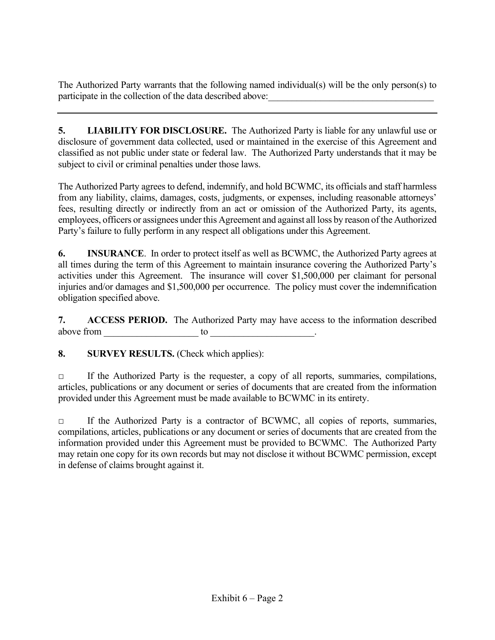The Authorized Party warrants that the following named individual(s) will be the only person(s) to participate in the collection of the data described above:

**5. LIABILITY FOR DISCLOSURE.** The Authorized Party is liable for any unlawful use or disclosure of government data collected, used or maintained in the exercise of this Agreement and classified as not public under state or federal law. The Authorized Party understands that it may be subject to civil or criminal penalties under those laws.

The Authorized Party agrees to defend, indemnify, and hold BCWMC, its officials and staff harmless from any liability, claims, damages, costs, judgments, or expenses, including reasonable attorneys' fees, resulting directly or indirectly from an act or omission of the Authorized Party, its agents, employees, officers or assignees under this Agreement and against all loss by reason of the Authorized Party's failure to fully perform in any respect all obligations under this Agreement.

**6. INSURANCE**. In order to protect itself as well as BCWMC, the Authorized Party agrees at all times during the term of this Agreement to maintain insurance covering the Authorized Party's activities under this Agreement. The insurance will cover \$1,500,000 per claimant for personal injuries and/or damages and \$1,500,000 per occurrence. The policy must cover the indemnification obligation specified above.

**7. ACCESS PERIOD.** The Authorized Party may have access to the information described above from to the set of the set of the set of the set of the set of the set of the set of the set of the set of the set of the set of the set of the set of the set of the set of the set of the set of the set of the set of

**8. SURVEY RESULTS.** (Check which applies):

□ If the Authorized Party is the requester, a copy of all reports, summaries, compilations, articles, publications or any document or series of documents that are created from the information provided under this Agreement must be made available to BCWMC in its entirety.

□ If the Authorized Party is a contractor of BCWMC, all copies of reports, summaries, compilations, articles, publications or any document or series of documents that are created from the information provided under this Agreement must be provided to BCWMC. The Authorized Party may retain one copy for its own records but may not disclose it without BCWMC permission, except in defense of claims brought against it.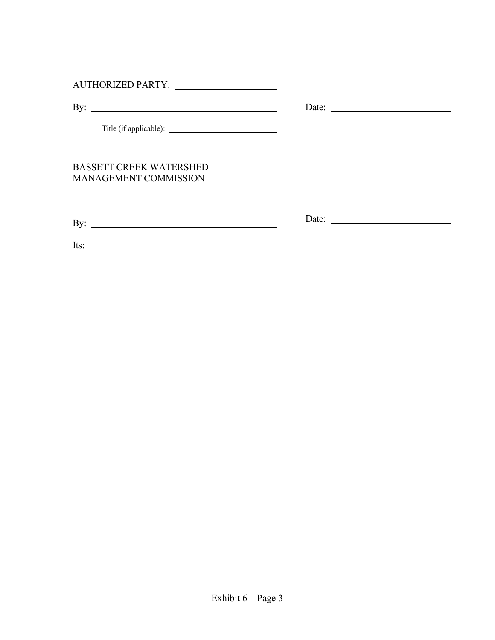AUTHORIZED PARTY:

By:  $\overline{\phantom{a}}$ 

Date:

Title (if applicable):

# BASSETT CREEK WATERSHED MANAGEMENT COMMISSION

By:

Its: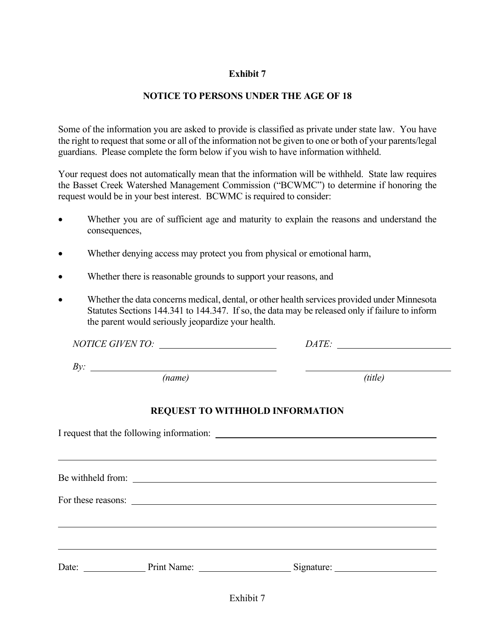#### **NOTICE TO PERSONS UNDER THE AGE OF 18**

Some of the information you are asked to provide is classified as private under state law. You have the right to request that some or all of the information not be given to one or both of your parents/legal guardians. Please complete the form below if you wish to have information withheld.

Your request does not automatically mean that the information will be withheld. State law requires the Basset Creek Watershed Management Commission ("BCWMC") to determine if honoring the request would be in your best interest. BCWMC is required to consider:

- Whether you are of sufficient age and maturity to explain the reasons and understand the consequences,
- Whether denying access may protect you from physical or emotional harm,
- Whether there is reasonable grounds to support your reasons, and
- Whether the data concerns medical, dental, or other health services provided under Minnesota Statutes Sections 144.341 to 144.347. If so, the data may be released only if failure to inform the parent would seriously jeopardize your health.

*NOTICE GIVEN TO: DATE:* 

*By:* 

*(name)*

# **REQUEST TO WITHHOLD INFORMATION**

I request that the following information:

Be withheld from:

For these reasons:

| Date: | Print Name: | Signature: |
|-------|-------------|------------|
|       |             |            |

*(title)*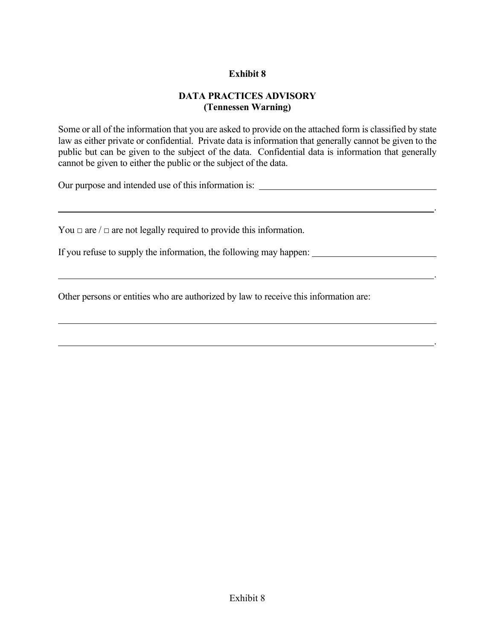#### **DATA PRACTICES ADVISORY (Tennessen Warning)**

Some or all of the information that you are asked to provide on the attached form is classified by state law as either private or confidential. Private data is information that generally cannot be given to the public but can be given to the subject of the data. Confidential data is information that generally cannot be given to either the public or the subject of the data.

<u>. Andre Stadt Stadt Stadt Stadt Stadt Stadt Stadt Stadt Stadt Stadt Stadt Stadt Stadt Stadt Stadt Stadt Stadt</u>

<u>. Andre van die Stadte van die Stadte van die Stadte van die Stadte van die Stadte van die Stadte van die Stad</u>

.

Our purpose and intended use of this information is:

You  $\Box$  are  $\Box$  are not legally required to provide this information.

If you refuse to supply the information, the following may happen:

Other persons or entities who are authorized by law to receive this information are: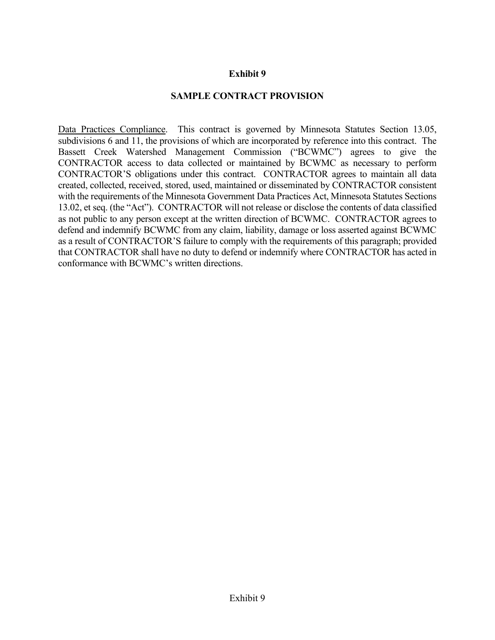#### **SAMPLE CONTRACT PROVISION**

Data Practices Compliance. This contract is governed by Minnesota Statutes Section 13.05, subdivisions 6 and 11, the provisions of which are incorporated by reference into this contract. The Bassett Creek Watershed Management Commission ("BCWMC") agrees to give the CONTRACTOR access to data collected or maintained by BCWMC as necessary to perform CONTRACTOR'S obligations under this contract. CONTRACTOR agrees to maintain all data created, collected, received, stored, used, maintained or disseminated by CONTRACTOR consistent with the requirements of the Minnesota Government Data Practices Act, Minnesota Statutes Sections 13.02, et seq. (the "Act"). CONTRACTOR will not release or disclose the contents of data classified as not public to any person except at the written direction of BCWMC. CONTRACTOR agrees to defend and indemnify BCWMC from any claim, liability, damage or loss asserted against BCWMC as a result of CONTRACTOR'S failure to comply with the requirements of this paragraph; provided that CONTRACTOR shall have no duty to defend or indemnify where CONTRACTOR has acted in conformance with BCWMC's written directions.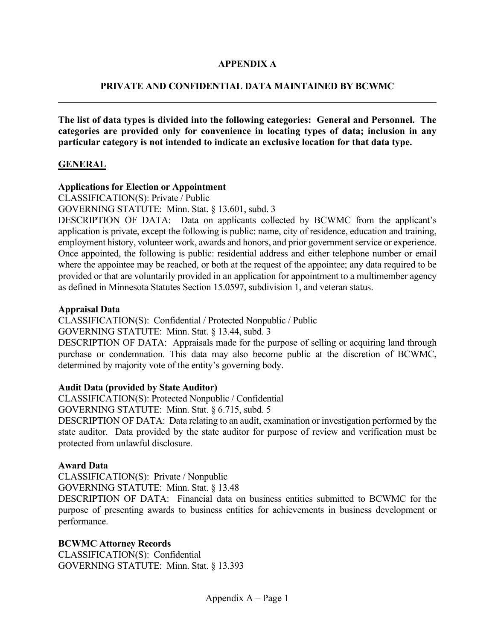#### **APPENDIX A**

#### **PRIVATE AND CONFIDENTIAL DATA MAINTAINED BY BCWMC**

**The list of data types is divided into the following categories: General and Personnel. The categories are provided only for convenience in locating types of data; inclusion in any particular category is not intended to indicate an exclusive location for that data type.** 

#### **GENERAL**

#### **Applications for Election or Appointment**

CLASSIFICATION(S): Private / Public

GOVERNING STATUTE: Minn. Stat. § 13.601, subd. 3

DESCRIPTION OF DATA: Data on applicants collected by BCWMC from the applicant's application is private, except the following is public: name, city of residence, education and training, employment history, volunteer work, awards and honors, and prior government service or experience. Once appointed, the following is public: residential address and either telephone number or email where the appointee may be reached, or both at the request of the appointee; any data required to be provided or that are voluntarily provided in an application for appointment to a multimember agency as defined in Minnesota Statutes Section 15.0597, subdivision 1, and veteran status.

#### **Appraisal Data**

CLASSIFICATION(S): Confidential / Protected Nonpublic / Public

GOVERNING STATUTE: Minn. Stat. § 13.44, subd. 3

DESCRIPTION OF DATA: Appraisals made for the purpose of selling or acquiring land through purchase or condemnation. This data may also become public at the discretion of BCWMC, determined by majority vote of the entity's governing body.

#### **Audit Data (provided by State Auditor)**

CLASSIFICATION(S): Protected Nonpublic / Confidential GOVERNING STATUTE: Minn. Stat. § 6.715, subd. 5

DESCRIPTION OF DATA: Data relating to an audit, examination or investigation performed by the state auditor. Data provided by the state auditor for purpose of review and verification must be protected from unlawful disclosure.

#### **Award Data**

CLASSIFICATION(S): Private / Nonpublic GOVERNING STATUTE: Minn. Stat. § 13.48

DESCRIPTION OF DATA: Financial data on business entities submitted to BCWMC for the purpose of presenting awards to business entities for achievements in business development or performance.

#### **BCWMC Attorney Records**

CLASSIFICATION(S): Confidential GOVERNING STATUTE: Minn. Stat. § 13.393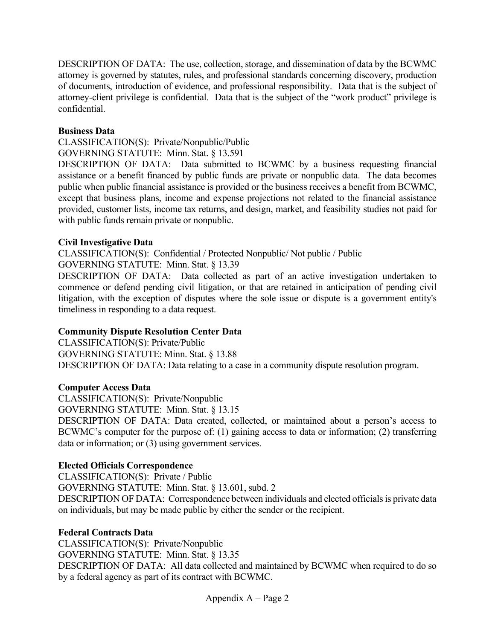DESCRIPTION OF DATA: The use, collection, storage, and dissemination of data by the BCWMC attorney is governed by statutes, rules, and professional standards concerning discovery, production of documents, introduction of evidence, and professional responsibility. Data that is the subject of attorney-client privilege is confidential. Data that is the subject of the "work product" privilege is confidential.

#### **Business Data**

CLASSIFICATION(S): Private/Nonpublic/Public

GOVERNING STATUTE: Minn. Stat. § 13.591

DESCRIPTION OF DATA: Data submitted to BCWMC by a business requesting financial assistance or a benefit financed by public funds are private or nonpublic data. The data becomes public when public financial assistance is provided or the business receives a benefit from BCWMC, except that business plans, income and expense projections not related to the financial assistance provided, customer lists, income tax returns, and design, market, and feasibility studies not paid for with public funds remain private or nonpublic.

#### **Civil Investigative Data**

CLASSIFICATION(S): Confidential / Protected Nonpublic/ Not public / Public

GOVERNING STATUTE: Minn. Stat. § 13.39

DESCRIPTION OF DATA: Data collected as part of an active investigation undertaken to commence or defend pending civil litigation, or that are retained in anticipation of pending civil litigation, with the exception of disputes where the sole issue or dispute is a government entity's timeliness in responding to a data request.

#### **Community Dispute Resolution Center Data**

CLASSIFICATION(S): Private/Public GOVERNING STATUTE: Minn. Stat. § 13.88 DESCRIPTION OF DATA: Data relating to a case in a community dispute resolution program.

#### **Computer Access Data**

CLASSIFICATION(S): Private/Nonpublic GOVERNING STATUTE: Minn. Stat. § 13.15 DESCRIPTION OF DATA: Data created, collected, or maintained about a person's access to BCWMC's computer for the purpose of: (1) gaining access to data or information; (2) transferring data or information; or (3) using government services.

#### **Elected Officials Correspondence**

CLASSIFICATION(S): Private / Public GOVERNING STATUTE: Minn. Stat. § 13.601, subd. 2 DESCRIPTION OF DATA: Correspondence between individuals and elected officials is private data on individuals, but may be made public by either the sender or the recipient.

#### **Federal Contracts Data**

CLASSIFICATION(S): Private/Nonpublic GOVERNING STATUTE: Minn. Stat. § 13.35 DESCRIPTION OF DATA: All data collected and maintained by BCWMC when required to do so by a federal agency as part of its contract with BCWMC.

Appendix  $A - Page 2$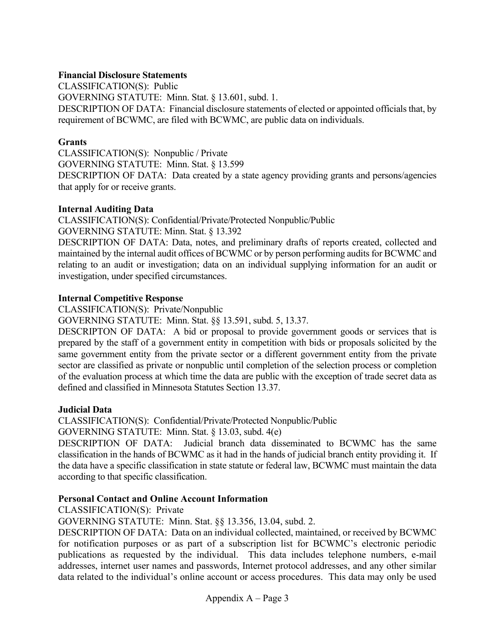#### **Financial Disclosure Statements**

CLASSIFICATION(S): Public GOVERNING STATUTE: Minn. Stat. § 13.601, subd. 1. DESCRIPTION OF DATA: Financial disclosure statements of elected or appointed officials that, by requirement of BCWMC, are filed with BCWMC, are public data on individuals.

#### **Grants**

CLASSIFICATION(S): Nonpublic / Private GOVERNING STATUTE: Minn. Stat. § 13.599 DESCRIPTION OF DATA: Data created by a state agency providing grants and persons/agencies that apply for or receive grants.

#### **Internal Auditing Data**

CLASSIFICATION(S): Confidential/Private/Protected Nonpublic/Public

GOVERNING STATUTE: Minn. Stat. § 13.392

DESCRIPTION OF DATA: Data, notes, and preliminary drafts of reports created, collected and maintained by the internal audit offices of BCWMC or by person performing audits for BCWMC and relating to an audit or investigation; data on an individual supplying information for an audit or investigation, under specified circumstances.

#### **Internal Competitive Response**

CLASSIFICATION(S): Private/Nonpublic

GOVERNING STATUTE: Minn. Stat. §§ 13.591, subd. 5, 13.37.

DESCRIPTON OF DATA: A bid or proposal to provide government goods or services that is prepared by the staff of a government entity in competition with bids or proposals solicited by the same government entity from the private sector or a different government entity from the private sector are classified as private or nonpublic until completion of the selection process or completion of the evaluation process at which time the data are public with the exception of trade secret data as defined and classified in Minnesota Statutes Section 13.37.

#### **Judicial Data**

CLASSIFICATION(S): Confidential/Private/Protected Nonpublic/Public

GOVERNING STATUTE: Minn. Stat. § 13.03, subd. 4(e)

DESCRIPTION OF DATA: Judicial branch data disseminated to BCWMC has the same classification in the hands of BCWMC as it had in the hands of judicial branch entity providing it. If the data have a specific classification in state statute or federal law, BCWMC must maintain the data according to that specific classification.

#### **Personal Contact and Online Account Information**

CLASSIFICATION(S): Private

GOVERNING STATUTE: Minn. Stat. §§ 13.356, 13.04, subd. 2.

DESCRIPTION OF DATA: Data on an individual collected, maintained, or received by BCWMC for notification purposes or as part of a subscription list for BCWMC's electronic periodic publications as requested by the individual. This data includes telephone numbers, e-mail addresses, internet user names and passwords, Internet protocol addresses, and any other similar data related to the individual's online account or access procedures. This data may only be used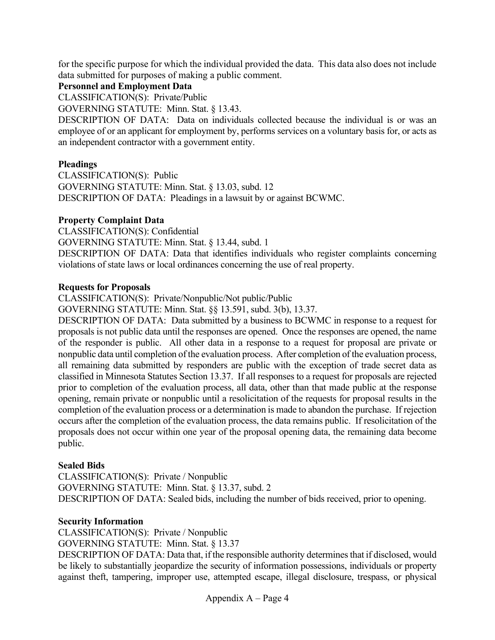for the specific purpose for which the individual provided the data. This data also does not include data submitted for purposes of making a public comment.

#### **Personnel and Employment Data**

CLASSIFICATION(S): Private/Public

GOVERNING STATUTE: Minn. Stat. § 13.43.

DESCRIPTION OF DATA: Data on individuals collected because the individual is or was an employee of or an applicant for employment by, performs services on a voluntary basis for, or acts as an independent contractor with a government entity.

#### **Pleadings**

CLASSIFICATION(S): Public GOVERNING STATUTE: Minn. Stat. § 13.03, subd. 12 DESCRIPTION OF DATA: Pleadings in a lawsuit by or against BCWMC.

#### **Property Complaint Data**

CLASSIFICATION(S): Confidential GOVERNING STATUTE: Minn. Stat. § 13.44, subd. 1 DESCRIPTION OF DATA: Data that identifies individuals who register complaints concerning violations of state laws or local ordinances concerning the use of real property.

#### **Requests for Proposals**

CLASSIFICATION(S): Private/Nonpublic/Not public/Public

GOVERNING STATUTE: Minn. Stat. §§ 13.591, subd. 3(b), 13.37.

DESCRIPTION OF DATA: Data submitted by a business to BCWMC in response to a request for proposals is not public data until the responses are opened. Once the responses are opened, the name of the responder is public. All other data in a response to a request for proposal are private or nonpublic data until completion of the evaluation process. After completion of the evaluation process, all remaining data submitted by responders are public with the exception of trade secret data as classified in Minnesota Statutes Section 13.37. If all responses to a request for proposals are rejected prior to completion of the evaluation process, all data, other than that made public at the response opening, remain private or nonpublic until a resolicitation of the requests for proposal results in the completion of the evaluation process or a determination is made to abandon the purchase. If rejection occurs after the completion of the evaluation process, the data remains public. If resolicitation of the proposals does not occur within one year of the proposal opening data, the remaining data become public.

#### **Sealed Bids**

CLASSIFICATION(S): Private / Nonpublic GOVERNING STATUTE: Minn. Stat. § 13.37, subd. 2 DESCRIPTION OF DATA: Sealed bids, including the number of bids received, prior to opening.

#### **Security Information**

CLASSIFICATION(S): Private / Nonpublic GOVERNING STATUTE: Minn. Stat. § 13.37 DESCRIPTION OF DATA: Data that, if the responsible authority determines that if disclosed, would be likely to substantially jeopardize the security of information possessions, individuals or property against theft, tampering, improper use, attempted escape, illegal disclosure, trespass, or physical

Appendix A – Page 4